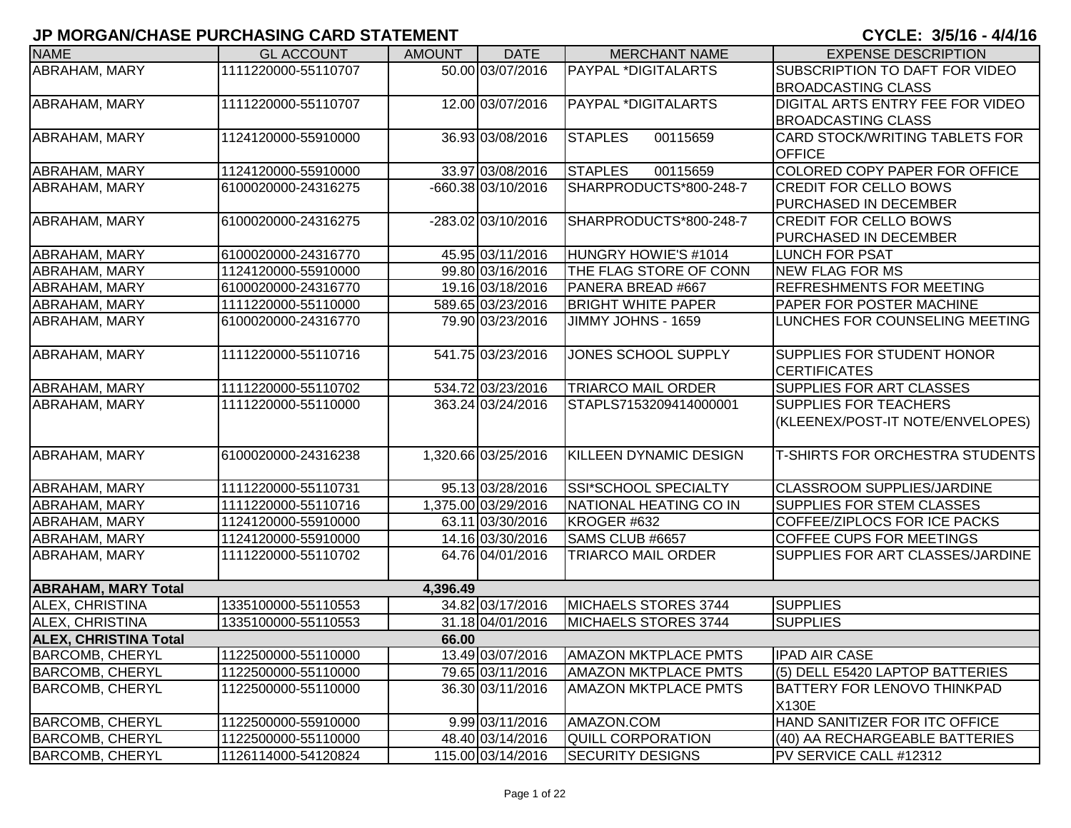| <b>NAME</b>                  | <b>GL ACCOUNT</b>   | <b>AMOUNT</b> | <b>DATE</b>         | <b>MERCHANT NAME</b>          | <b>EXPENSE DESCRIPTION</b>            |
|------------------------------|---------------------|---------------|---------------------|-------------------------------|---------------------------------------|
| ABRAHAM, MARY                | 1111220000-55110707 |               | 50.00 03/07/2016    | <b>PAYPAL *DIGITALARTS</b>    | SUBSCRIPTION TO DAFT FOR VIDEO        |
|                              |                     |               |                     |                               | <b>BROADCASTING CLASS</b>             |
| ABRAHAM, MARY                | 1111220000-55110707 |               | 12.00 03/07/2016    | PAYPAL *DIGITALARTS           | DIGITAL ARTS ENTRY FEE FOR VIDEO      |
|                              |                     |               |                     |                               | <b>BROADCASTING CLASS</b>             |
| ABRAHAM, MARY                | 1124120000-55910000 |               | 36.93 03/08/2016    | <b>STAPLES</b><br>00115659    | <b>CARD STOCK/WRITING TABLETS FOR</b> |
|                              |                     |               |                     |                               | <b>OFFICE</b>                         |
| ABRAHAM, MARY                | 1124120000-55910000 |               | 33.97 03/08/2016    | <b>STAPLES</b><br>00115659    | COLORED COPY PAPER FOR OFFICE         |
| ABRAHAM, MARY                | 6100020000-24316275 |               | -660.38 03/10/2016  | SHARPRODUCTS*800-248-7        | <b>CREDIT FOR CELLO BOWS</b>          |
|                              |                     |               |                     |                               | PURCHASED IN DECEMBER                 |
| <b>ABRAHAM, MARY</b>         | 6100020000-24316275 |               | -283.02 03/10/2016  | SHARPRODUCTS*800-248-7        | <b>CREDIT FOR CELLO BOWS</b>          |
|                              |                     |               |                     |                               | PURCHASED IN DECEMBER                 |
| ABRAHAM, MARY                | 6100020000-24316770 |               | 45.95 03/11/2016    | HUNGRY HOWIE'S #1014          | <b>LUNCH FOR PSAT</b>                 |
| ABRAHAM, MARY                | 1124120000-55910000 |               | 99.80 03/16/2016    | THE FLAG STORE OF CONN        | <b>NEW FLAG FOR MS</b>                |
| ABRAHAM, MARY                | 6100020000-24316770 |               | 19.16 03/18/2016    | PANERA BREAD #667             | <b>REFRESHMENTS FOR MEETING</b>       |
| ABRAHAM, MARY                | 1111220000-55110000 |               | 589.65 03/23/2016   | <b>BRIGHT WHITE PAPER</b>     | PAPER FOR POSTER MACHINE              |
| <b>ABRAHAM, MARY</b>         | 6100020000-24316770 |               | 79.90 03/23/2016    | JIMMY JOHNS - 1659            | LUNCHES FOR COUNSELING MEETING        |
|                              |                     |               |                     |                               |                                       |
| ABRAHAM, MARY                | 1111220000-55110716 |               | 541.75 03/23/2016   | JONES SCHOOL SUPPLY           | <b>SUPPLIES FOR STUDENT HONOR</b>     |
|                              |                     |               |                     |                               | <b>ICERTIFICATES</b>                  |
| ABRAHAM, MARY                | 1111220000-55110702 |               | 534.72 03/23/2016   | <b>TRIARCO MAIL ORDER</b>     | SUPPLIES FOR ART CLASSES              |
| ABRAHAM, MARY                | 1111220000-55110000 |               | 363.24 03/24/2016   | STAPLS7153209414000001        | <b>SUPPLIES FOR TEACHERS</b>          |
|                              |                     |               |                     |                               | (KLEENEX/POST-IT NOTE/ENVELOPES)      |
|                              |                     |               |                     |                               |                                       |
| ABRAHAM, MARY                | 6100020000-24316238 |               | 1,320.66 03/25/2016 | <b>KILLEEN DYNAMIC DESIGN</b> | T-SHIRTS FOR ORCHESTRA STUDENTS       |
|                              |                     |               |                     |                               |                                       |
| ABRAHAM, MARY                | 1111220000-55110731 |               | 95.13 03/28/2016    | SSI*SCHOOL SPECIALTY          | <b>CLASSROOM SUPPLIES/JARDINE</b>     |
| ABRAHAM, MARY                | 1111220000-55110716 |               | 1,375.00 03/29/2016 | NATIONAL HEATING CO IN        | SUPPLIES FOR STEM CLASSES             |
| ABRAHAM, MARY                | 1124120000-55910000 |               | 63.11 03/30/2016    | KROGER #632                   | COFFEE/ZIPLOCS FOR ICE PACKS          |
| ABRAHAM, MARY                | 1124120000-55910000 |               | 14.16 03/30/2016    | SAMS CLUB #6657               | COFFEE CUPS FOR MEETINGS              |
| ABRAHAM, MARY                | 1111220000-55110702 |               | 64.76 04/01/2016    | <b>TRIARCO MAIL ORDER</b>     | SUPPLIES FOR ART CLASSES/JARDINE      |
|                              |                     |               |                     |                               |                                       |
| <b>ABRAHAM, MARY Total</b>   |                     | 4,396.49      |                     |                               |                                       |
| ALEX, CHRISTINA              | 1335100000-55110553 |               | 34.82 03/17/2016    | <b>MICHAELS STORES 3744</b>   | <b>SUPPLIES</b>                       |
| <b>ALEX, CHRISTINA</b>       | 1335100000-55110553 |               | 31.18 04/01/2016    | MICHAELS STORES 3744          | <b>SUPPLIES</b>                       |
| <b>ALEX, CHRISTINA Total</b> |                     | 66.00         |                     |                               |                                       |
| <b>BARCOMB, CHERYL</b>       | 1122500000-55110000 |               | 13.49 03/07/2016    | <b>AMAZON MKTPLACE PMTS</b>   | <b>IPAD AIR CASE</b>                  |
| <b>BARCOMB, CHERYL</b>       | 1122500000-55110000 |               | 79.65 03/11/2016    | <b>AMAZON MKTPLACE PMTS</b>   | (5) DELL E5420 LAPTOP BATTERIES       |
| <b>BARCOMB, CHERYL</b>       | 1122500000-55110000 |               | 36.30 03/11/2016    | <b>AMAZON MKTPLACE PMTS</b>   | BATTERY FOR LENOVO THINKPAD           |
|                              |                     |               |                     |                               | X130E                                 |
| <b>BARCOMB, CHERYL</b>       | 1122500000-55910000 |               | 9.99 03/11/2016     | AMAZON.COM                    | HAND SANITIZER FOR ITC OFFICE         |
| <b>BARCOMB, CHERYL</b>       | 1122500000-55110000 |               | 48.40 03/14/2016    | QUILL CORPORATION             | (40) AA RECHARGEABLE BATTERIES        |
| <b>BARCOMB, CHERYL</b>       | 1126114000-54120824 |               | 115.00 03/14/2016   | <b>SECURITY DESIGNS</b>       | PV SERVICE CALL #12312                |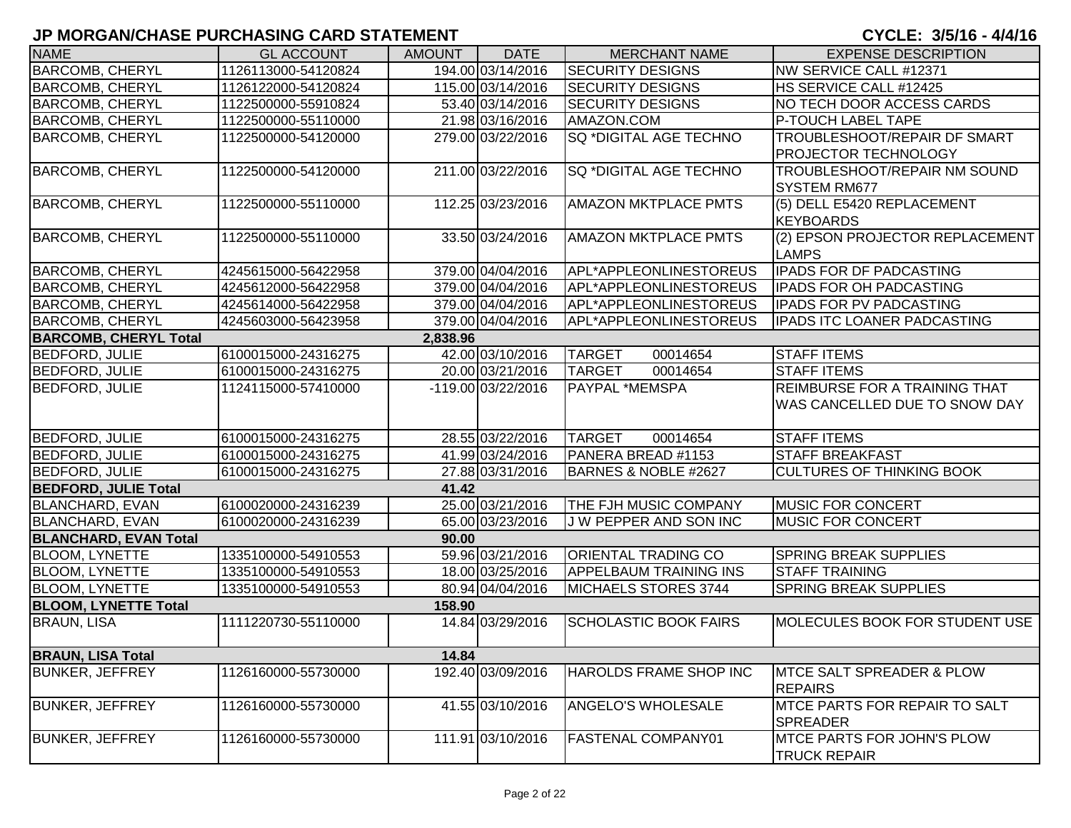| <b>NAME</b>                  | <b>GL ACCOUNT</b>   | <b>AMOUNT</b> | <b>DATE</b>        | <b>MERCHANT NAME</b>            | <b>EXPENSE DESCRIPTION</b>            |
|------------------------------|---------------------|---------------|--------------------|---------------------------------|---------------------------------------|
| <b>BARCOMB, CHERYL</b>       | 1126113000-54120824 |               | 194.00 03/14/2016  | <b>SECURITY DESIGNS</b>         | NW SERVICE CALL #12371                |
| <b>BARCOMB, CHERYL</b>       | 1126122000-54120824 |               | 115.00 03/14/2016  | <b>SECURITY DESIGNS</b>         | <b>HS SERVICE CALL #12425</b>         |
| <b>BARCOMB, CHERYL</b>       | 1122500000-55910824 |               | 53.40 03/14/2016   | <b>SECURITY DESIGNS</b>         | NO TECH DOOR ACCESS CARDS             |
| <b>BARCOMB, CHERYL</b>       | 1122500000-55110000 |               | 21.98 03/16/2016   | AMAZON.COM                      | <b>P-TOUCH LABEL TAPE</b>             |
| <b>BARCOMB, CHERYL</b>       | 1122500000-54120000 |               | 279.00 03/22/2016  | SQ *DIGITAL AGE TECHNO          | <b>TROUBLESHOOT/REPAIR DF SMART</b>   |
|                              |                     |               |                    |                                 | <b>PROJECTOR TECHNOLOGY</b>           |
| <b>BARCOMB, CHERYL</b>       | 1122500000-54120000 |               | 211.00 03/22/2016  | SQ *DIGITAL AGE TECHNO          | TROUBLESHOOT/REPAIR NM SOUND          |
|                              |                     |               |                    |                                 | <b>SYSTEM RM677</b>                   |
| <b>BARCOMB, CHERYL</b>       | 1122500000-55110000 |               | 112.25 03/23/2016  | <b>AMAZON MKTPLACE PMTS</b>     | (5) DELL E5420 REPLACEMENT            |
|                              |                     |               |                    |                                 | KEYBOARDS                             |
| <b>BARCOMB, CHERYL</b>       | 1122500000-55110000 |               | 33.50 03/24/2016   | <b>AMAZON MKTPLACE PMTS</b>     | (2) EPSON PROJECTOR REPLACEMENT       |
|                              |                     |               |                    |                                 | <b>LAMPS</b>                          |
| <b>BARCOMB, CHERYL</b>       | 4245615000-56422958 |               | 379.00 04/04/2016  | APL*APPLEONLINESTOREUS          | <b>IPADS FOR DF PADCASTING</b>        |
| <b>BARCOMB, CHERYL</b>       | 4245612000-56422958 |               | 379.00 04/04/2016  | APL*APPLEONLINESTOREUS          | <b>IPADS FOR OH PADCASTING</b>        |
| <b>BARCOMB, CHERYL</b>       | 4245614000-56422958 |               | 379.00 04/04/2016  | APL*APPLEONLINESTOREUS          | <b>IPADS FOR PV PADCASTING</b>        |
| <b>BARCOMB, CHERYL</b>       | 4245603000-56423958 |               | 379.00 04/04/2016  | APL*APPLEONLINESTOREUS          | <b>IPADS ITC LOANER PADCASTING</b>    |
| <b>BARCOMB, CHERYL Total</b> |                     | 2,838.96      |                    |                                 |                                       |
| <b>BEDFORD, JULIE</b>        | 6100015000-24316275 |               | 42.00 03/10/2016   | <b>TARGET</b><br>00014654       | <b>STAFF ITEMS</b>                    |
| <b>BEDFORD, JULIE</b>        | 6100015000-24316275 |               | 20.00 03/21/2016   | <b>TARGET</b><br>00014654       | <b>STAFF ITEMS</b>                    |
| <b>BEDFORD, JULIE</b>        | 1124115000-57410000 |               | -119.00 03/22/2016 | PAYPAL *MEMSPA                  | <b>REIMBURSE FOR A TRAINING THAT</b>  |
|                              |                     |               |                    |                                 | WAS CANCELLED DUE TO SNOW DAY         |
|                              |                     |               |                    |                                 |                                       |
| <b>BEDFORD, JULIE</b>        | 6100015000-24316275 |               | 28.55 03/22/2016   | <b>TARGET</b><br>00014654       | <b>STAFF ITEMS</b>                    |
| <b>BEDFORD, JULIE</b>        | 6100015000-24316275 |               | 41.99 03/24/2016   | PANERA BREAD #1153              | <b>STAFF BREAKFAST</b>                |
| <b>BEDFORD, JULIE</b>        | 6100015000-24316275 |               | 27.88 03/31/2016   | <b>BARNES &amp; NOBLE #2627</b> | <b>CULTURES OF THINKING BOOK</b>      |
| <b>BEDFORD, JULIE Total</b>  |                     | 41.42         |                    |                                 |                                       |
| <b>BLANCHARD, EVAN</b>       | 6100020000-24316239 |               | 25.00 03/21/2016   | THE FJH MUSIC COMPANY           | <b>MUSIC FOR CONCERT</b>              |
| <b>BLANCHARD, EVAN</b>       | 6100020000-24316239 |               | 65.00 03/23/2016   | J W PEPPER AND SON INC          | <b>MUSIC FOR CONCERT</b>              |
| <b>BLANCHARD, EVAN Total</b> |                     | 90.00         |                    |                                 |                                       |
| <b>BLOOM, LYNETTE</b>        | 1335100000-54910553 |               | 59.96 03/21/2016   | <b>ORIENTAL TRADING CO</b>      | <b>SPRING BREAK SUPPLIES</b>          |
| <b>BLOOM, LYNETTE</b>        | 1335100000-54910553 |               | 18.00 03/25/2016   | <b>APPELBAUM TRAINING INS</b>   | <b>STAFF TRAINING</b>                 |
| <b>BLOOM, LYNETTE</b>        | 1335100000-54910553 |               | 80.94 04/04/2016   | MICHAELS STORES 3744            | <b>SPRING BREAK SUPPLIES</b>          |
| <b>BLOOM, LYNETTE Total</b>  |                     | 158.90        |                    |                                 |                                       |
| <b>BRAUN, LISA</b>           | 1111220730-55110000 |               | 14.84 03/29/2016   | <b>SCHOLASTIC BOOK FAIRS</b>    | <b>MOLECULES BOOK FOR STUDENT USE</b> |
|                              |                     |               |                    |                                 |                                       |
| <b>BRAUN, LISA Total</b>     |                     | 14.84         |                    |                                 |                                       |
| <b>BUNKER, JEFFREY</b>       | 1126160000-55730000 |               | 192.40 03/09/2016  | HAROLDS FRAME SHOP INC          | <b>IMTCE SALT SPREADER &amp; PLOW</b> |
|                              |                     |               |                    |                                 | <b>REPAIRS</b>                        |
| <b>BUNKER, JEFFREY</b>       | 1126160000-55730000 |               | 41.55 03/10/2016   | ANGELO'S WHOLESALE              | <b>MTCE PARTS FOR REPAIR TO SALT</b>  |
|                              |                     |               |                    |                                 | <b>SPREADER</b>                       |
| <b>BUNKER, JEFFREY</b>       | 1126160000-55730000 |               | 111.91 03/10/2016  | FASTENAL COMPANY01              | <b>MTCE PARTS FOR JOHN'S PLOW</b>     |
|                              |                     |               |                    |                                 | <b>TRUCK REPAIR</b>                   |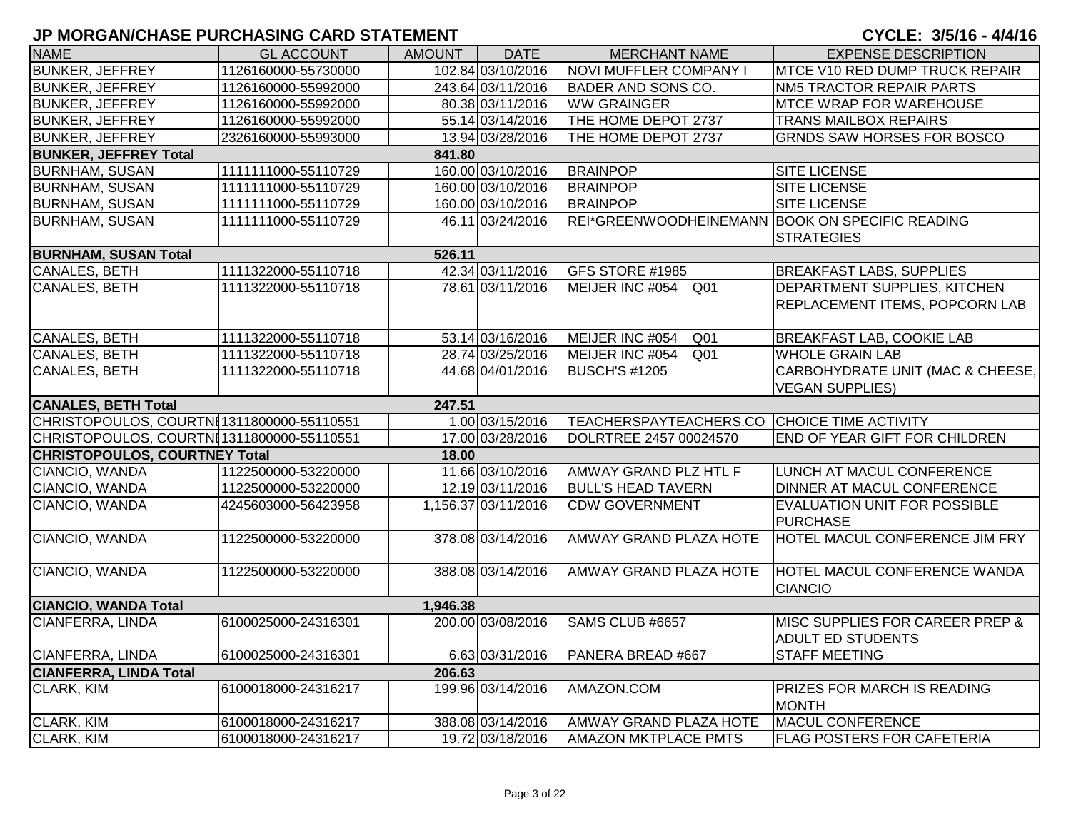| <b>NAME</b>                               | <b>GL ACCOUNT</b>                          | AMOUNT   | <b>DATE</b>                           | <b>MERCHANT NAME</b>                                  | <b>EXPENSE DESCRIPTION</b>                                   |
|-------------------------------------------|--------------------------------------------|----------|---------------------------------------|-------------------------------------------------------|--------------------------------------------------------------|
| <b>BUNKER, JEFFREY</b>                    | 1126160000-55730000                        |          | 102.84 03/10/2016                     | NOVI MUFFLER COMPANY I                                | MTCE V10 RED DUMP TRUCK REPAIR                               |
| <b>BUNKER, JEFFREY</b>                    | 1126160000-55992000                        |          | 243.64 03/11/2016                     | <b>BADER AND SONS CO.</b>                             | <b>NM5 TRACTOR REPAIR PARTS</b>                              |
| <b>BUNKER, JEFFREY</b>                    | 1126160000-55992000                        |          | 80.38 03/11/2016                      | <b>WW GRAINGER</b>                                    | <b>MTCE WRAP FOR WAREHOUSE</b>                               |
| <b>BUNKER, JEFFREY</b>                    | 1126160000-55992000                        |          | 55.14 03/14/2016                      | THE HOME DEPOT 2737                                   | <b>TRANS MAILBOX REPAIRS</b>                                 |
| <b>BUNKER, JEFFREY</b>                    | 2326160000-55993000                        |          | 13.94 03/28/2016                      | THE HOME DEPOT 2737                                   | <b>GRNDS SAW HORSES FOR BOSCO</b>                            |
| <b>BUNKER, JEFFREY Total</b>              |                                            | 841.80   |                                       |                                                       |                                                              |
| <b>BURNHAM, SUSAN</b>                     | 1111111000-55110729                        |          | 160.00 03/10/2016                     | <b>BRAINPOP</b>                                       | <b>SITE LICENSE</b>                                          |
| <b>BURNHAM, SUSAN</b>                     | 1111111000-55110729                        |          | 160.00 03/10/2016                     | <b>BRAINPOP</b>                                       | <b>SITE LICENSE</b>                                          |
| <b>BURNHAM, SUSAN</b>                     | 1111111000-55110729                        |          | 160.00 03/10/2016                     | <b>BRAINPOP</b>                                       | <b>SITE LICENSE</b>                                          |
| <b>BURNHAM, SUSAN</b>                     | 1111111000-55110729                        |          | 46.11 03/24/2016                      | REI*GREENWOODHEINEMANN BOOK ON SPECIFIC READING       |                                                              |
|                                           |                                            |          |                                       |                                                       | <b>STRATEGIES</b>                                            |
| <b>BURNHAM, SUSAN Total</b>               |                                            | 526.11   |                                       |                                                       |                                                              |
| CANALES, BETH                             | 1111322000-55110718                        |          | 42.34 03/11/2016                      | GFS STORE #1985                                       | <b>BREAKFAST LABS, SUPPLIES</b>                              |
| <b>CANALES, BETH</b>                      | 1111322000-55110718                        |          | 78.61 03/11/2016                      | MEIJER INC #054 Q01                                   | <b>DEPARTMENT SUPPLIES, KITCHEN</b>                          |
|                                           |                                            |          |                                       |                                                       | REPLACEMENT ITEMS, POPCORN LAB                               |
|                                           |                                            |          |                                       |                                                       |                                                              |
| CANALES, BETH                             | 1111322000-55110718                        |          | 53.14 03/16/2016                      | MEIJER INC #054<br>Q <sub>01</sub>                    | <b>BREAKFAST LAB, COOKIE LAB</b>                             |
| <b>CANALES, BETH</b>                      | 1111322000-55110718                        |          | 28.74 03/25/2016                      | MEIJER INC #054<br>Q <sub>01</sub>                    | <b>WHOLE GRAIN LAB</b>                                       |
| CANALES, BETH                             | 1111322000-55110718                        |          | 44.68 04/01/2016                      | <b>BUSCH'S #1205</b>                                  | CARBOHYDRATE UNIT (MAC & CHEESE,                             |
|                                           |                                            |          |                                       |                                                       | <b>VEGAN SUPPLIES)</b>                                       |
|                                           |                                            |          |                                       |                                                       |                                                              |
| <b>CANALES, BETH Total</b>                |                                            | 247.51   |                                       |                                                       |                                                              |
| CHRISTOPOULOS, COURTNI1311800000-55110551 |                                            |          | 1.00 03/15/2016                       | TEACHERSPAYTEACHERS.CO CHOICE TIME ACTIVITY           |                                                              |
| CHRISTOPOULOS, COURTN[1311800000-55110551 |                                            |          | 17.00 03/28/2016                      | DOLRTREE 2457 00024570                                | END OF YEAR GIFT FOR CHILDREN                                |
| <b>CHRISTOPOULOS, COURTNEY Total</b>      |                                            | 18.00    |                                       |                                                       |                                                              |
| CIANCIO, WANDA                            | 1122500000-53220000                        |          | 11.66 03/10/2016                      | AMWAY GRAND PLZ HTL F                                 | LUNCH AT MACUL CONFERENCE                                    |
| CIANCIO, WANDA                            | 1122500000-53220000                        |          | 12.19 03/11/2016                      | <b>BULL'S HEAD TAVERN</b>                             | DINNER AT MACUL CONFERENCE                                   |
| CIANCIO, WANDA                            | 4245603000-56423958                        |          | 1,156.37 03/11/2016                   | <b>CDW GOVERNMENT</b>                                 | <b>EVALUATION UNIT FOR POSSIBLE</b>                          |
|                                           |                                            |          |                                       |                                                       | <b>PURCHASE</b>                                              |
| CIANCIO, WANDA                            | 1122500000-53220000                        |          | 378.08 03/14/2016                     | AMWAY GRAND PLAZA HOTE                                | <b>HOTEL MACUL CONFERENCE JIM FRY</b>                        |
|                                           |                                            |          |                                       |                                                       |                                                              |
| CIANCIO, WANDA                            | 1122500000-53220000                        |          | 388.08 03/14/2016                     | AMWAY GRAND PLAZA HOTE                                | <b>HOTEL MACUL CONFERENCE WANDA</b>                          |
|                                           |                                            |          |                                       |                                                       | <b>CIANCIO</b>                                               |
| <b>CIANCIO, WANDA Total</b>               |                                            | 1,946.38 |                                       |                                                       |                                                              |
| <b>CIANFERRA, LINDA</b>                   | 6100025000-24316301                        |          | 200.00 03/08/2016                     | SAMS CLUB #6657                                       | MISC SUPPLIES FOR CAREER PREP &                              |
|                                           |                                            |          |                                       |                                                       | <b>ADULT ED STUDENTS</b>                                     |
| <b>CIANFERRA, LINDA</b>                   | 6100025000-24316301                        |          | 6.63 03/31/2016                       | PANERA BREAD #667                                     | <b>STAFF MEETING</b>                                         |
| <b>CIANFERRA, LINDA Total</b>             |                                            | 206.63   |                                       |                                                       |                                                              |
| <b>CLARK, KIM</b>                         | 6100018000-24316217                        |          | 199.96 03/14/2016                     | AMAZON.COM                                            | PRIZES FOR MARCH IS READING                                  |
|                                           |                                            |          |                                       |                                                       | <b>MONTH</b>                                                 |
| CLARK, KIM<br><b>CLARK, KIM</b>           | 6100018000-24316217<br>6100018000-24316217 |          | 388.08 03/14/2016<br>19.72 03/18/2016 | AMWAY GRAND PLAZA HOTE<br><b>AMAZON MKTPLACE PMTS</b> | <b>MACUL CONFERENCE</b><br><b>FLAG POSTERS FOR CAFETERIA</b> |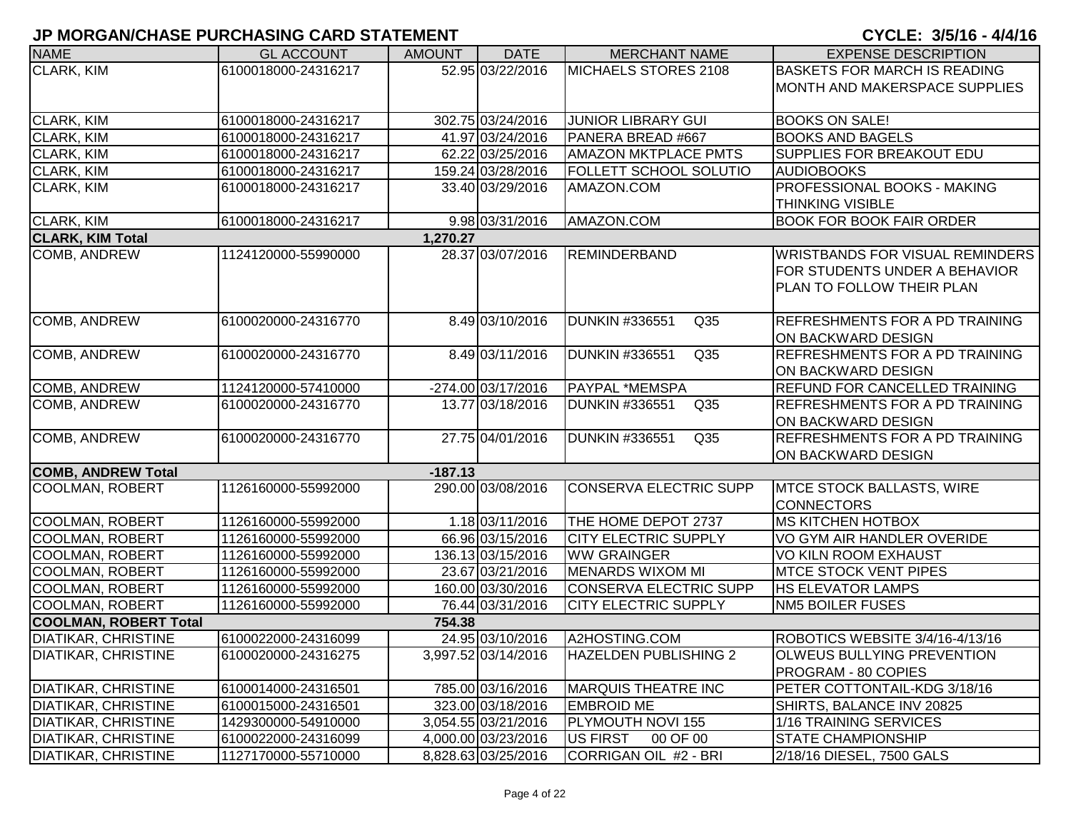| <b>NAME</b>                  | <b>GL ACCOUNT</b>   | <b>AMOUNT</b> | <b>DATE</b>          | <b>MERCHANT NAME</b>                     | <b>EXPENSE DESCRIPTION</b>             |
|------------------------------|---------------------|---------------|----------------------|------------------------------------------|----------------------------------------|
| <b>CLARK, KIM</b>            | 6100018000-24316217 |               | 52.95 03/22/2016     | MICHAELS STORES 2108                     | <b>BASKETS FOR MARCH IS READING</b>    |
|                              |                     |               |                      |                                          | <b>MONTH AND MAKERSPACE SUPPLIES</b>   |
|                              |                     |               |                      |                                          |                                        |
| CLARK, KIM                   | 6100018000-24316217 |               | 302.75 03/24/2016    | <b>JUNIOR LIBRARY GUI</b>                | <b>BOOKS ON SALE!</b>                  |
| <b>CLARK, KIM</b>            | 6100018000-24316217 |               | 41.97 03/24/2016     | PANERA BREAD #667                        | <b>BOOKS AND BAGELS</b>                |
| CLARK, KIM                   | 6100018000-24316217 |               | 62.22 03/25/2016     | <b>AMAZON MKTPLACE PMTS</b>              | <b>SUPPLIES FOR BREAKOUT EDU</b>       |
| CLARK, KIM                   | 6100018000-24316217 |               | 159.24 03/28/2016    | <b>FOLLETT SCHOOL SOLUTIO</b>            | <b>AUDIOBOOKS</b>                      |
| <b>CLARK, KIM</b>            | 6100018000-24316217 |               | 33.40 03/29/2016     | AMAZON.COM                               | PROFESSIONAL BOOKS - MAKING            |
|                              |                     |               |                      |                                          | <b>THINKING VISIBLE</b>                |
| <b>CLARK, KIM</b>            | 6100018000-24316217 |               | 9.98 03/31/2016      | AMAZON.COM                               | <b>BOOK FOR BOOK FAIR ORDER</b>        |
| <b>CLARK, KIM Total</b>      |                     | 1,270.27      |                      |                                          |                                        |
| COMB, ANDREW                 | 1124120000-55990000 |               | 28.37 03/07/2016     | <b>REMINDERBAND</b>                      | <b>WRISTBANDS FOR VISUAL REMINDERS</b> |
|                              |                     |               |                      |                                          | FOR STUDENTS UNDER A BEHAVIOR          |
|                              |                     |               |                      |                                          | PLAN TO FOLLOW THEIR PLAN              |
|                              |                     |               |                      |                                          |                                        |
| <b>COMB, ANDREW</b>          | 6100020000-24316770 |               | 8.49 03/10/2016      | <b>DUNKIN #336551</b><br>Q35             | <b>REFRESHMENTS FOR A PD TRAINING</b>  |
|                              |                     |               |                      |                                          | ON BACKWARD DESIGN                     |
| <b>COMB, ANDREW</b>          | 6100020000-24316770 |               | 8.49 03/11/2016      | <b>DUNKIN #336551</b><br>Q <sub>35</sub> | <b>REFRESHMENTS FOR A PD TRAINING</b>  |
|                              |                     |               |                      |                                          | ON BACKWARD DESIGN                     |
| COMB, ANDREW                 | 1124120000-57410000 |               | $-274.00$ 03/17/2016 | <b>PAYPAL *MEMSPA</b>                    | <b>REFUND FOR CANCELLED TRAINING</b>   |
| COMB, ANDREW                 | 6100020000-24316770 |               | 13.77 03/18/2016     | Q35<br><b>DUNKIN #336551</b>             | <b>REFRESHMENTS FOR A PD TRAINING</b>  |
|                              |                     |               |                      |                                          | ON BACKWARD DESIGN                     |
| COMB, ANDREW                 | 6100020000-24316770 |               | 27.75 04/01/2016     | <b>DUNKIN #336551</b><br>Q <sub>35</sub> | <b>REFRESHMENTS FOR A PD TRAINING</b>  |
|                              |                     |               |                      |                                          | ON BACKWARD DESIGN                     |
| <b>COMB, ANDREW Total</b>    |                     | $-187.13$     |                      |                                          |                                        |
| <b>COOLMAN, ROBERT</b>       | 1126160000-55992000 |               | 290.00 03/08/2016    | CONSERVA ELECTRIC SUPP                   | MTCE STOCK BALLASTS, WIRE              |
|                              |                     |               |                      |                                          | <b>CONNECTORS</b>                      |
| COOLMAN, ROBERT              | 1126160000-55992000 |               | 1.18 03/11/2016      | THE HOME DEPOT 2737                      | <b>MS KITCHEN HOTBOX</b>               |
| COOLMAN, ROBERT              | 1126160000-55992000 |               | 66.96 03/15/2016     | <b>CITY ELECTRIC SUPPLY</b>              | VO GYM AIR HANDLER OVERIDE             |
| COOLMAN, ROBERT              | 1126160000-55992000 |               | 136.13 03/15/2016    | <b>WW GRAINGER</b>                       | <b>VO KILN ROOM EXHAUST</b>            |
| <b>COOLMAN, ROBERT</b>       | 1126160000-55992000 |               | 23.67 03/21/2016     | <b>MENARDS WIXOM MI</b>                  | <b>MTCE STOCK VENT PIPES</b>           |
| <b>COOLMAN, ROBERT</b>       | 1126160000-55992000 |               | 160.00 03/30/2016    | CONSERVA ELECTRIC SUPP                   | <b>HS ELEVATOR LAMPS</b>               |
| <b>COOLMAN, ROBERT</b>       | 1126160000-55992000 |               | 76.44 03/31/2016     | <b>CITY ELECTRIC SUPPLY</b>              | <b>NM5 BOILER FUSES</b>                |
| <b>COOLMAN, ROBERT Total</b> |                     | 754.38        |                      |                                          |                                        |
| <b>DIATIKAR, CHRISTINE</b>   | 6100022000-24316099 |               | 24.95 03/10/2016     | A2HOSTING.COM                            | ROBOTICS WEBSITE 3/4/16-4/13/16        |
| <b>DIATIKAR, CHRISTINE</b>   | 6100020000-24316275 |               | 3,997.52 03/14/2016  | <b>HAZELDEN PUBLISHING 2</b>             | OLWEUS BULLYING PREVENTION             |
|                              |                     |               |                      |                                          | PROGRAM - 80 COPIES                    |
| <b>DIATIKAR, CHRISTINE</b>   | 6100014000-24316501 |               | 785.00 03/16/2016    | <b>MARQUIS THEATRE INC</b>               | PETER COTTONTAIL-KDG 3/18/16           |
| <b>DIATIKAR, CHRISTINE</b>   | 6100015000-24316501 |               | 323.00 03/18/2016    | <b>EMBROID ME</b>                        | SHIRTS, BALANCE INV 20825              |
| <b>DIATIKAR, CHRISTINE</b>   | 1429300000-54910000 |               | 3,054.55 03/21/2016  | PLYMOUTH NOVI 155                        | 1/16 TRAINING SERVICES                 |
| <b>DIATIKAR, CHRISTINE</b>   | 6100022000-24316099 |               | 4,000.00 03/23/2016  | <b>US FIRST</b><br>00 OF 00              | STATE CHAMPIONSHIP                     |
| <b>DIATIKAR, CHRISTINE</b>   | 1127170000-55710000 |               | 8,828.63 03/25/2016  | CORRIGAN OIL #2 - BRI                    | 2/18/16 DIESEL, 7500 GALS              |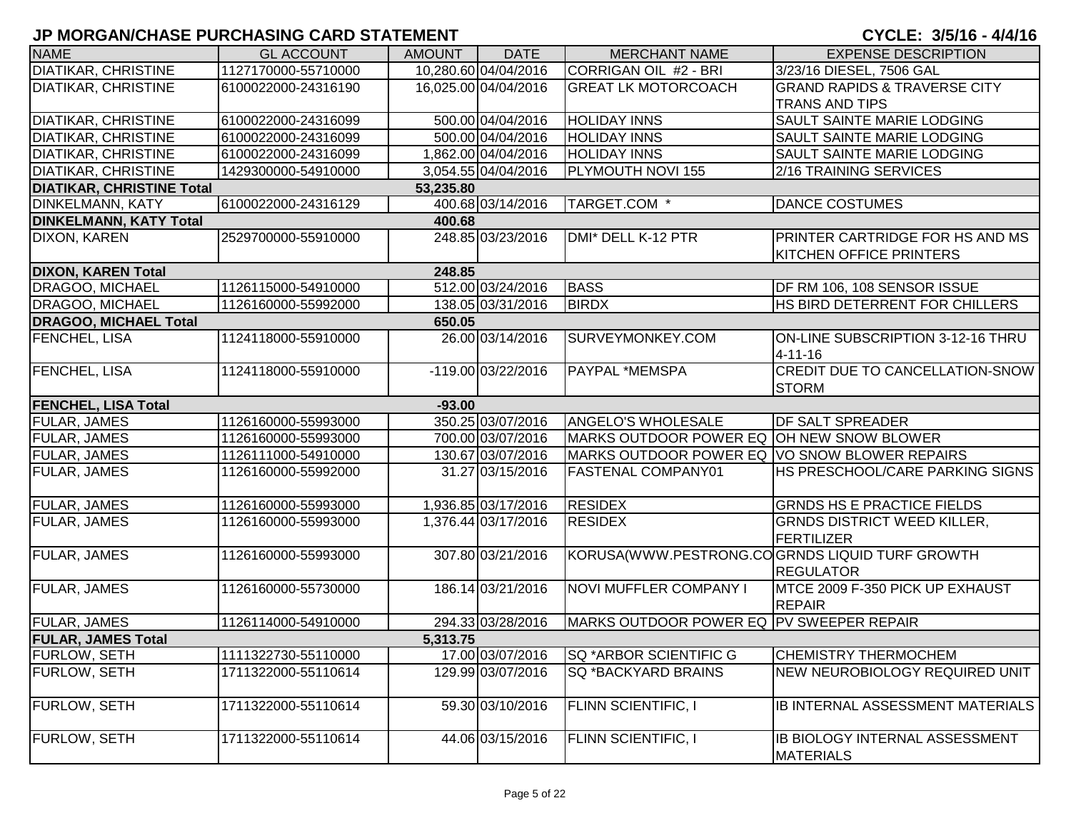| <b>NAME</b>                      | <b>GL ACCOUNT</b>   | <b>AMOUNT</b> | <b>DATE</b>          | <b>MERCHANT NAME</b>                          | <b>EXPENSE DESCRIPTION</b>                     |
|----------------------------------|---------------------|---------------|----------------------|-----------------------------------------------|------------------------------------------------|
| <b>DIATIKAR, CHRISTINE</b>       | 1127170000-55710000 |               | 10,280.60 04/04/2016 | CORRIGAN OIL #2 - BRI                         | 3/23/16 DIESEL, 7506 GAL                       |
| <b>DIATIKAR, CHRISTINE</b>       | 6100022000-24316190 |               | 16,025.00 04/04/2016 | <b>GREAT LK MOTORCOACH</b>                    | <b>GRAND RAPIDS &amp; TRAVERSE CITY</b>        |
|                                  |                     |               |                      |                                               | <b>TRANS AND TIPS</b>                          |
| <b>DIATIKAR, CHRISTINE</b>       | 6100022000-24316099 |               | 500.00 04/04/2016    | <b>HOLIDAY INNS</b>                           | <b>SAULT SAINTE MARIE LODGING</b>              |
| <b>DIATIKAR, CHRISTINE</b>       | 6100022000-24316099 |               | 500.00 04/04/2016    | <b>HOLIDAY INNS</b>                           | <b>SAULT SAINTE MARIE LODGING</b>              |
| <b>DIATIKAR, CHRISTINE</b>       | 6100022000-24316099 |               | 1,862.00 04/04/2016  | <b>HOLIDAY INNS</b>                           | <b>SAULT SAINTE MARIE LODGING</b>              |
| <b>DIATIKAR, CHRISTINE</b>       | 1429300000-54910000 |               | 3,054.55 04/04/2016  | PLYMOUTH NOVI 155                             | 2/16 TRAINING SERVICES                         |
| <b>DIATIKAR, CHRISTINE Total</b> |                     | 53,235.80     |                      |                                               |                                                |
| <b>DINKELMANN, KATY</b>          | 6100022000-24316129 |               | 400.68 03/14/2016    | TARGET.COM *                                  | <b>DANCE COSTUMES</b>                          |
| <b>DINKELMANN, KATY Total</b>    |                     | 400.68        |                      |                                               |                                                |
| <b>DIXON, KAREN</b>              | 2529700000-55910000 |               | 248.85 03/23/2016    | DMI* DELL K-12 PTR                            | PRINTER CARTRIDGE FOR HS AND MS                |
|                                  |                     |               |                      |                                               | <b>KITCHEN OFFICE PRINTERS</b>                 |
| <b>DIXON, KAREN Total</b>        |                     | 248.85        |                      |                                               |                                                |
| <b>DRAGOO, MICHAEL</b>           | 1126115000-54910000 |               | 512.00 03/24/2016    | <b>BASS</b>                                   | DF RM 106, 108 SENSOR ISSUE                    |
| <b>DRAGOO, MICHAEL</b>           | 1126160000-55992000 |               | 138.05 03/31/2016    | <b>BIRDX</b>                                  | HS BIRD DETERRENT FOR CHILLERS                 |
| <b>DRAGOO, MICHAEL Total</b>     |                     | 650.05        |                      |                                               |                                                |
| <b>FENCHEL, LISA</b>             | 1124118000-55910000 |               | 26.00 03/14/2016     | SURVEYMONKEY.COM                              | ON-LINE SUBSCRIPTION 3-12-16 THRU              |
|                                  |                     |               |                      |                                               | $4 - 11 - 16$                                  |
| <b>FENCHEL, LISA</b>             | 1124118000-55910000 |               | -119.00 03/22/2016   | PAYPAL *MEMSPA                                | CREDIT DUE TO CANCELLATION-SNOW                |
|                                  |                     |               |                      |                                               | <b>STORM</b>                                   |
| <b>FENCHEL, LISA Total</b>       |                     | $-93.00$      |                      |                                               |                                                |
| <b>FULAR, JAMES</b>              | 1126160000-55993000 |               | 350.25 03/07/2016    | <b>ANGELO'S WHOLESALE</b>                     | <b>DF SALT SPREADER</b>                        |
| <b>FULAR, JAMES</b>              | 1126160000-55993000 |               | 700.00 03/07/2016    | MARKS OUTDOOR POWER EQ OH NEW SNOW BLOWER     |                                                |
| <b>FULAR, JAMES</b>              | 1126111000-54910000 |               | 130.67 03/07/2016    | MARKS OUTDOOR POWER EQ VO SNOW BLOWER REPAIRS |                                                |
| <b>FULAR, JAMES</b>              | 1126160000-55992000 |               | 31.27 03/15/2016     | <b>FASTENAL COMPANY01</b>                     | HS PRESCHOOL/CARE PARKING SIGNS                |
|                                  |                     |               |                      |                                               |                                                |
| <b>FULAR, JAMES</b>              | 1126160000-55993000 |               | 1,936.85 03/17/2016  | <b>RESIDEX</b>                                | <b>GRNDS HS E PRACTICE FIELDS</b>              |
| <b>FULAR, JAMES</b>              | 1126160000-55993000 |               | 1,376.44 03/17/2016  | <b>RESIDEX</b>                                | <b>GRNDS DISTRICT WEED KILLER,</b>             |
|                                  |                     |               |                      |                                               | FERTILIZER                                     |
| <b>FULAR, JAMES</b>              | 1126160000-55993000 |               | 307.80 03/21/2016    |                                               | KORUSA(WWW.PESTRONG.COGRNDS LIQUID TURF GROWTH |
|                                  |                     |               |                      |                                               | <b>REGULATOR</b>                               |
| <b>FULAR, JAMES</b>              | 1126160000-55730000 |               | 186.14 03/21/2016    | <b>NOVI MUFFLER COMPANY I</b>                 | MTCE 2009 F-350 PICK UP EXHAUST                |
|                                  |                     |               |                      |                                               | <b>REPAIR</b>                                  |
| <b>FULAR, JAMES</b>              | 1126114000-54910000 |               | 294.33 03/28/2016    | MARKS OUTDOOR POWER EQ PV SWEEPER REPAIR      |                                                |
| <b>FULAR, JAMES Total</b>        |                     | 5,313.75      |                      |                                               |                                                |
| <b>FURLOW, SETH</b>              | 1111322730-55110000 |               | 17.00 03/07/2016     | <b>SQ *ARBOR SCIENTIFIC G</b>                 | <b>CHEMISTRY THERMOCHEM</b>                    |
| <b>FURLOW, SETH</b>              | 1711322000-55110614 |               | 129.99 03/07/2016    | <b>SQ *BACKYARD BRAINS</b>                    | <b>NEW NEUROBIOLOGY REQUIRED UNIT</b>          |
|                                  |                     |               |                      |                                               |                                                |
| <b>FURLOW, SETH</b>              | 1711322000-55110614 |               | 59.30 03/10/2016     | <b>FLINN SCIENTIFIC, I</b>                    | IB INTERNAL ASSESSMENT MATERIALS               |
|                                  |                     |               |                      |                                               |                                                |
| <b>FURLOW, SETH</b>              | 1711322000-55110614 |               | 44.06 03/15/2016     | <b>FLINN SCIENTIFIC, I</b>                    | IB BIOLOGY INTERNAL ASSESSMENT                 |
|                                  |                     |               |                      |                                               | <b>MATERIALS</b>                               |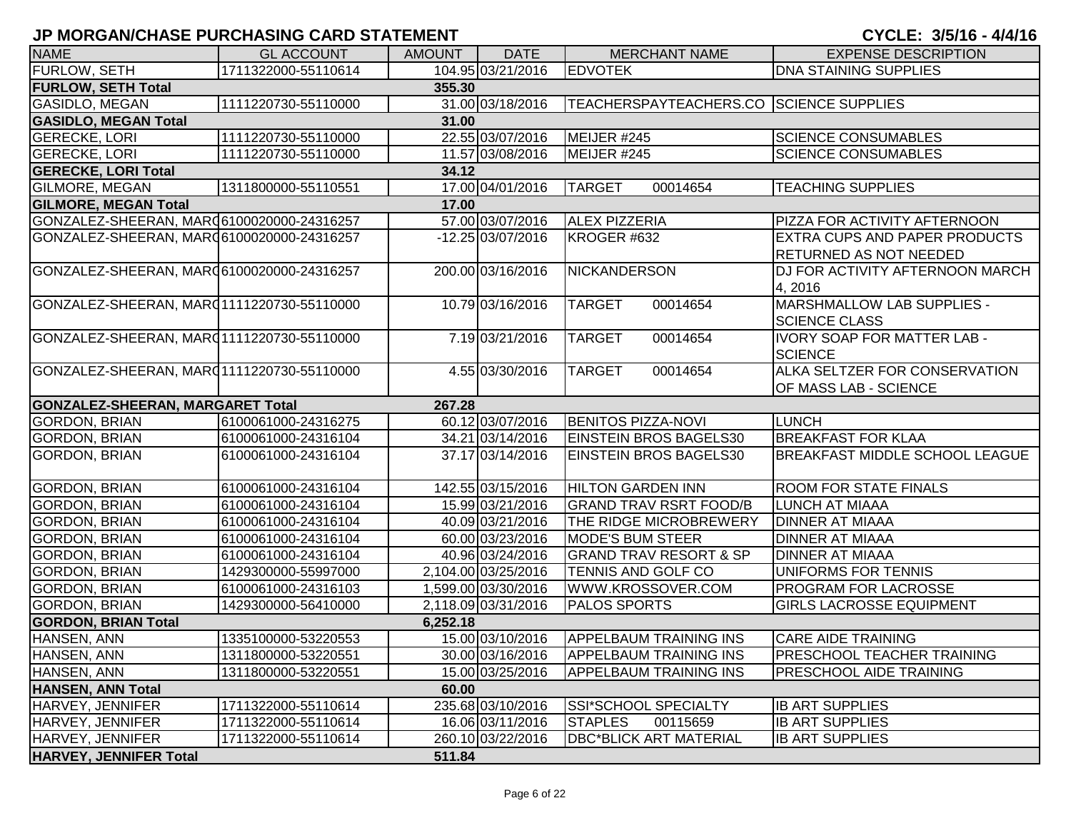# **JP MORGAN/CHASE PURCHASING CARD STATEMENT AND RESIDENT CONTROLLER TO A 4/4/16 - 4/4/16 - 3/5/16 - 4/4/16**

| CYCLE: 3/5/16 - 4/4/16 |  |  |
|------------------------|--|--|
|------------------------|--|--|

| <b>NAME</b>                               | <b>GL ACCOUNT</b>   | <b>AMOUNT</b> | <b>DATE</b>         | <b>MERCHANT NAME</b>                    | <b>EXPENSE DESCRIPTION</b>            |
|-------------------------------------------|---------------------|---------------|---------------------|-----------------------------------------|---------------------------------------|
| FURLOW, SETH                              | 1711322000-55110614 |               | 104.95 03/21/2016   | <b>EDVOTEK</b>                          | <b>DNA STAINING SUPPLIES</b>          |
| <b>FURLOW, SETH Total</b>                 |                     | 355.30        |                     |                                         |                                       |
| <b>GASIDLO, MEGAN</b>                     | 1111220730-55110000 |               | 31.00 03/18/2016    | TEACHERSPAYTEACHERS.CO SCIENCE SUPPLIES |                                       |
| <b>GASIDLO, MEGAN Total</b>               |                     | 31.00         |                     |                                         |                                       |
| <b>GERECKE, LORI</b>                      | 1111220730-55110000 |               | 22.55 03/07/2016    | MEIJER #245                             | <b>SCIENCE CONSUMABLES</b>            |
| <b>GERECKE, LORI</b>                      | 1111220730-55110000 |               | 11.57 03/08/2016    | MEIJER #245                             | <b>SCIENCE CONSUMABLES</b>            |
| <b>GERECKE, LORI Total</b>                |                     | 34.12         |                     |                                         |                                       |
| GILMORE, MEGAN                            | 1311800000-55110551 |               | 17.00 04/01/2016    | <b>TARGET</b><br>00014654               | <b>TEACHING SUPPLIES</b>              |
| <b>GILMORE, MEGAN Total</b>               |                     | 17.00         |                     |                                         |                                       |
| GONZALEZ-SHEERAN, MARQ6100020000-24316257 |                     |               | 57.00 03/07/2016    | <b>ALEX PIZZERIA</b>                    | PIZZA FOR ACTIVITY AFTERNOON          |
| GONZALEZ-SHEERAN, MAR06100020000-24316257 |                     |               | -12.25 03/07/2016   | KROGER #632                             | <b>EXTRA CUPS AND PAPER PRODUCTS</b>  |
|                                           |                     |               |                     |                                         | <b>RETURNED AS NOT NEEDED</b>         |
| GONZALEZ-SHEERAN, MAR06100020000-24316257 |                     |               | 200.00 03/16/2016   | <b>NICKANDERSON</b>                     | DJ FOR ACTIVITY AFTERNOON MARCH       |
|                                           |                     |               |                     |                                         | 4, 2016                               |
| GONZALEZ-SHEERAN, MARQ1111220730-55110000 |                     |               | 10.79 03/16/2016    | <b>TARGET</b><br>00014654               | MARSHMALLOW LAB SUPPLIES -            |
|                                           |                     |               |                     |                                         | <b>SCIENCE CLASS</b>                  |
| GONZALEZ-SHEERAN, MARQ1111220730-55110000 |                     |               | 7.19 03/21/2016     | 00014654<br><b>TARGET</b>               | <b>IVORY SOAP FOR MATTER LAB -</b>    |
|                                           |                     |               |                     |                                         | <b>SCIENCE</b>                        |
| GONZALEZ-SHEERAN, MARQ1111220730-55110000 |                     |               | 4.55 03/30/2016     | <b>TARGET</b><br>00014654               | <b>ALKA SELTZER FOR CONSERVATION</b>  |
|                                           |                     |               |                     |                                         | OF MASS LAB - SCIENCE                 |
| <b>GONZALEZ-SHEERAN, MARGARET Total</b>   |                     | 267.28        |                     |                                         |                                       |
| <b>GORDON, BRIAN</b>                      | 6100061000-24316275 |               | 60.12 03/07/2016    | <b>BENITOS PIZZA-NOVI</b>               | <b>LUNCH</b>                          |
| <b>GORDON, BRIAN</b>                      | 6100061000-24316104 |               | 34.21 03/14/2016    | EINSTEIN BROS BAGELS30                  | <b>BREAKFAST FOR KLAA</b>             |
| <b>GORDON, BRIAN</b>                      | 6100061000-24316104 |               | 37.17 03/14/2016    | <b>EINSTEIN BROS BAGELS30</b>           | <b>BREAKFAST MIDDLE SCHOOL LEAGUE</b> |
|                                           |                     |               |                     |                                         |                                       |
| <b>GORDON, BRIAN</b>                      | 6100061000-24316104 |               | 142.55 03/15/2016   | <b>HILTON GARDEN INN</b>                | <b>ROOM FOR STATE FINALS</b>          |
| GORDON, BRIAN                             | 6100061000-24316104 |               | 15.99 03/21/2016    | <b>GRAND TRAV RSRT FOOD/B</b>           | LUNCH AT MIAAA                        |
| GORDON, BRIAN                             | 6100061000-24316104 |               | 40.09 03/21/2016    | THE RIDGE MICROBREWERY                  | <b>DINNER AT MIAAA</b>                |
| GORDON, BRIAN                             | 6100061000-24316104 |               | 60.00 03/23/2016    | <b>MODE'S BUM STEER</b>                 | <b>DINNER AT MIAAA</b>                |
| <b>GORDON, BRIAN</b>                      | 6100061000-24316104 |               | 40.96 03/24/2016    | <b>GRAND TRAV RESORT &amp; SP</b>       | <b>DINNER AT MIAAA</b>                |
| GORDON, BRIAN                             | 1429300000-55997000 |               | 2,104.00 03/25/2016 | <b>TENNIS AND GOLF CO</b>               | UNIFORMS FOR TENNIS                   |
| <b>GORDON, BRIAN</b>                      | 6100061000-24316103 |               | 1,599.00 03/30/2016 | WWW.KROSSOVER.COM                       | <b>PROGRAM FOR LACROSSE</b>           |
| <b>GORDON, BRIAN</b>                      | 1429300000-56410000 |               | 2,118.09 03/31/2016 | <b>PALOS SPORTS</b>                     | <b>GIRLS LACROSSE EQUIPMENT</b>       |
| <b>GORDON, BRIAN Total</b>                |                     | 6,252.18      |                     |                                         |                                       |
| HANSEN, ANN                               | 1335100000-53220553 |               | 15.00 03/10/2016    | <b>APPELBAUM TRAINING INS</b>           | <b>CARE AIDE TRAINING</b>             |
| HANSEN, ANN                               | 1311800000-53220551 |               | 30.00 03/16/2016    | <b>APPELBAUM TRAINING INS</b>           | <b>PRESCHOOL TEACHER TRAINING</b>     |
| HANSEN, ANN                               | 1311800000-53220551 |               | 15.00 03/25/2016    | <b>APPELBAUM TRAINING INS</b>           | <b>PRESCHOOL AIDE TRAINING</b>        |
| <b>HANSEN, ANN Total</b>                  |                     | 60.00         |                     |                                         |                                       |
| HARVEY, JENNIFER                          | 1711322000-55110614 |               | 235.68 03/10/2016   | SSI*SCHOOL SPECIALTY                    | <b>IB ART SUPPLIES</b>                |
| HARVEY, JENNIFER                          | 1711322000-55110614 |               | 16.06 03/11/2016    | <b>STAPLES</b><br>00115659              | <b>IB ART SUPPLIES</b>                |
| HARVEY, JENNIFER                          | 1711322000-55110614 |               | 260.10 03/22/2016   | <b>DBC*BLICK ART MATERIAL</b>           | <b>IB ART SUPPLIES</b>                |
| <b>HARVEY, JENNIFER Total</b>             |                     | 511.84        |                     |                                         |                                       |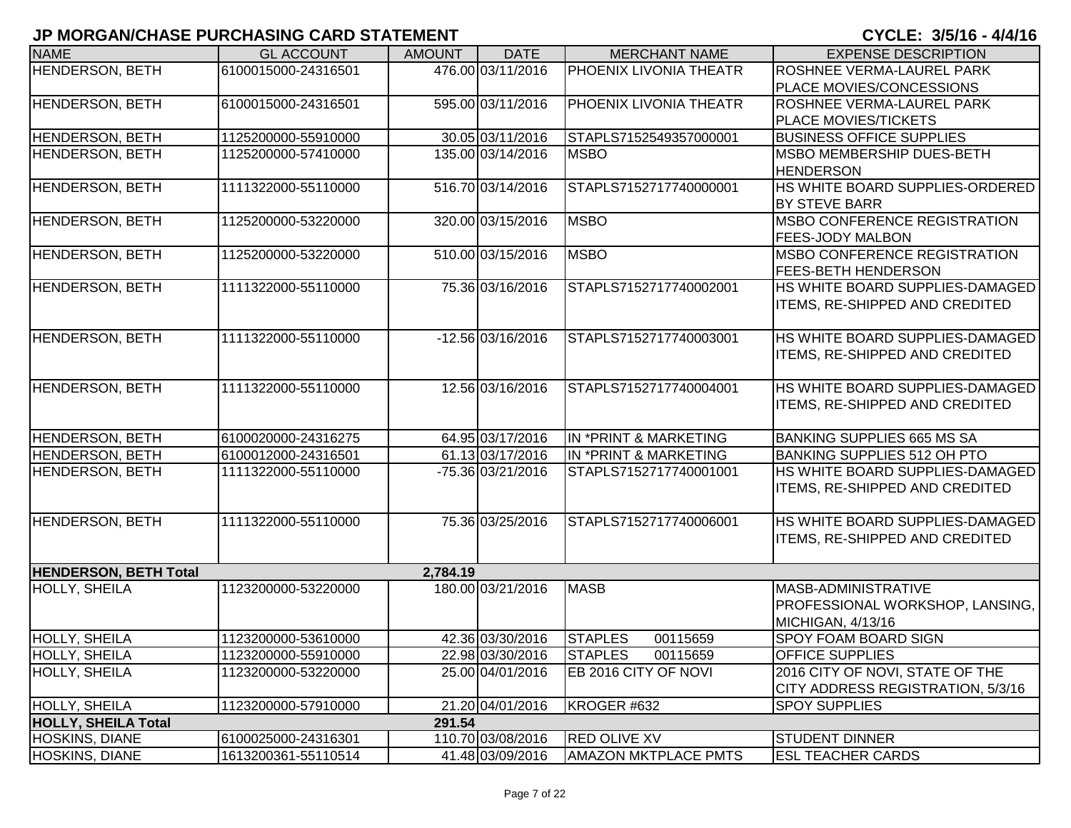| <b>NAME</b>                  | <b>GL ACCOUNT</b>   | <b>AMOUNT</b> | <b>DATE</b>       | <b>MERCHANT NAME</b>        | <b>EXPENSE DESCRIPTION</b>            |
|------------------------------|---------------------|---------------|-------------------|-----------------------------|---------------------------------------|
| HENDERSON, BETH              | 6100015000-24316501 |               | 476.00 03/11/2016 | PHOENIX LIVONIA THEATR      | <b>ROSHNEE VERMA-LAUREL PARK</b>      |
|                              |                     |               |                   |                             | <b>PLACE MOVIES/CONCESSIONS</b>       |
| HENDERSON, BETH              | 6100015000-24316501 |               | 595.00 03/11/2016 | PHOENIX LIVONIA THEATR      | <b>ROSHNEE VERMA-LAUREL PARK</b>      |
|                              |                     |               |                   |                             | <b>PLACE MOVIES/TICKETS</b>           |
| <b>HENDERSON, BETH</b>       | 1125200000-55910000 |               | 30.05 03/11/2016  | STAPLS7152549357000001      | <b>BUSINESS OFFICE SUPPLIES</b>       |
| HENDERSON, BETH              | 1125200000-57410000 |               | 135.00 03/14/2016 | <b>MSBO</b>                 | <b>MSBO MEMBERSHIP DUES-BETH</b>      |
|                              |                     |               |                   |                             | <b>HENDERSON</b>                      |
| <b>HENDERSON, BETH</b>       | 1111322000-55110000 |               | 516.70 03/14/2016 | STAPLS7152717740000001      | HS WHITE BOARD SUPPLIES-ORDERED       |
|                              |                     |               |                   |                             | <b>BY STEVE BARR</b>                  |
| <b>HENDERSON, BETH</b>       | 1125200000-53220000 |               | 320.00 03/15/2016 | <b>MSBO</b>                 | <b>IMSBO CONFERENCE REGISTRATION</b>  |
|                              |                     |               |                   |                             | <b>FEES-JODY MALBON</b>               |
| <b>HENDERSON, BETH</b>       | 1125200000-53220000 |               | 510.00 03/15/2016 | <b>MSBO</b>                 | <b>IMSBO CONFERENCE REGISTRATION</b>  |
|                              |                     |               |                   |                             | <b>FEES-BETH HENDERSON</b>            |
| <b>HENDERSON, BETH</b>       | 1111322000-55110000 |               | 75.36 03/16/2016  | STAPLS7152717740002001      | HS WHITE BOARD SUPPLIES-DAMAGED       |
|                              |                     |               |                   |                             | ITEMS, RE-SHIPPED AND CREDITED        |
|                              |                     |               |                   |                             |                                       |
| HENDERSON, BETH              | 1111322000-55110000 |               | -12.56 03/16/2016 | STAPLS7152717740003001      | HS WHITE BOARD SUPPLIES-DAMAGED       |
|                              |                     |               |                   |                             | <b>ITEMS, RE-SHIPPED AND CREDITED</b> |
|                              |                     |               |                   |                             |                                       |
| <b>HENDERSON, BETH</b>       | 1111322000-55110000 |               | 12.56 03/16/2016  | STAPLS7152717740004001      | HS WHITE BOARD SUPPLIES-DAMAGED       |
|                              |                     |               |                   |                             | <b>ITEMS, RE-SHIPPED AND CREDITED</b> |
|                              |                     |               |                   |                             |                                       |
| HENDERSON, BETH              | 6100020000-24316275 |               | 64.95 03/17/2016  | IN *PRINT & MARKETING       | <b>BANKING SUPPLIES 665 MS SA</b>     |
| <b>HENDERSON, BETH</b>       | 6100012000-24316501 |               | 61.13 03/17/2016  | IN *PRINT & MARKETING       | BANKING SUPPLIES 512 OH PTO           |
| <b>HENDERSON, BETH</b>       | 1111322000-55110000 |               | -75.36 03/21/2016 | STAPLS7152717740001001      | HS WHITE BOARD SUPPLIES-DAMAGED       |
|                              |                     |               |                   |                             | <b>ITEMS, RE-SHIPPED AND CREDITED</b> |
|                              |                     |               |                   |                             |                                       |
| <b>HENDERSON, BETH</b>       | 1111322000-55110000 |               | 75.36 03/25/2016  | STAPLS7152717740006001      | HS WHITE BOARD SUPPLIES-DAMAGED       |
|                              |                     |               |                   |                             | ITEMS, RE-SHIPPED AND CREDITED        |
|                              |                     |               |                   |                             |                                       |
| <b>HENDERSON, BETH Total</b> |                     | 2,784.19      |                   |                             |                                       |
| <b>HOLLY, SHEILA</b>         | 1123200000-53220000 |               | 180.00 03/21/2016 | <b>MASB</b>                 | MASB-ADMINISTRATIVE                   |
|                              |                     |               |                   |                             | PROFESSIONAL WORKSHOP, LANSING,       |
|                              |                     |               |                   |                             | MICHIGAN, 4/13/16                     |
| <b>HOLLY, SHEILA</b>         | 1123200000-53610000 |               | 42.36 03/30/2016  | <b>STAPLES</b><br>00115659  | <b>SPOY FOAM BOARD SIGN</b>           |
| <b>HOLLY, SHEILA</b>         | 1123200000-55910000 |               | 22.98 03/30/2016  | <b>STAPLES</b><br>00115659  | <b>OFFICE SUPPLIES</b>                |
| <b>HOLLY, SHEILA</b>         | 1123200000-53220000 |               | 25.00 04/01/2016  | EB 2016 CITY OF NOVI        | 2016 CITY OF NOVI, STATE OF THE       |
|                              |                     |               |                   |                             | CITY ADDRESS REGISTRATION, 5/3/16     |
| <b>HOLLY, SHEILA</b>         | 1123200000-57910000 |               | 21.20 04/01/2016  | KROGER #632                 | <b>SPOY SUPPLIES</b>                  |
| <b>HOLLY, SHEILA Total</b>   |                     | 291.54        |                   |                             |                                       |
| <b>HOSKINS, DIANE</b>        | 6100025000-24316301 |               | 110.70 03/08/2016 | <b>RED OLIVE XV</b>         | <b>STUDENT DINNER</b>                 |
| <b>HOSKINS, DIANE</b>        | 1613200361-55110514 |               | 41.48 03/09/2016  | <b>AMAZON MKTPLACE PMTS</b> | <b>ESL TEACHER CARDS</b>              |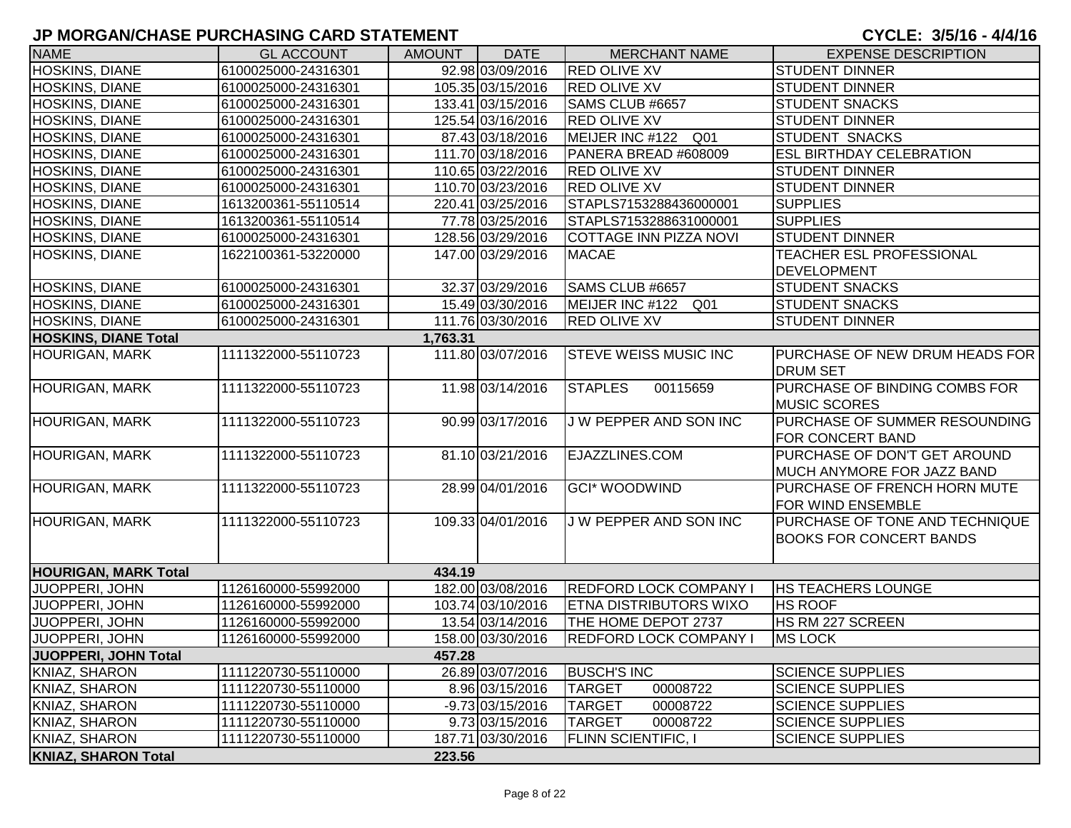| <b>NAME</b>                 | <b>GL ACCOUNT</b>   | <b>AMOUNT</b> | <b>DATE</b>       | <b>MERCHANT NAME</b>          | <b>EXPENSE DESCRIPTION</b>                                       |
|-----------------------------|---------------------|---------------|-------------------|-------------------------------|------------------------------------------------------------------|
| HOSKINS, DIANE              | 6100025000-24316301 |               | 92.98 03/09/2016  | <b>RED OLIVE XV</b>           | <b>STUDENT DINNER</b>                                            |
| <b>HOSKINS, DIANE</b>       | 6100025000-24316301 |               | 105.35 03/15/2016 | <b>RED OLIVE XV</b>           | <b>STUDENT DINNER</b>                                            |
| HOSKINS, DIANE              | 6100025000-24316301 |               | 133.41 03/15/2016 | SAMS CLUB #6657               | <b>STUDENT SNACKS</b>                                            |
| HOSKINS, DIANE              | 6100025000-24316301 |               | 125.54 03/16/2016 | <b>RED OLIVE XV</b>           | <b>STUDENT DINNER</b>                                            |
| HOSKINS, DIANE              | 6100025000-24316301 |               | 87.43 03/18/2016  | MEIJER INC #122 Q01           | <b>STUDENT SNACKS</b>                                            |
| HOSKINS, DIANE              | 6100025000-24316301 |               | 111.70 03/18/2016 | PANERA BREAD #608009          | <b>ESL BIRTHDAY CELEBRATION</b>                                  |
| HOSKINS, DIANE              | 6100025000-24316301 |               | 110.65 03/22/2016 | <b>RED OLIVE XV</b>           | <b>STUDENT DINNER</b>                                            |
| <b>HOSKINS, DIANE</b>       | 6100025000-24316301 |               | 110.70 03/23/2016 | <b>RED OLIVE XV</b>           | <b>STUDENT DINNER</b>                                            |
| <b>HOSKINS, DIANE</b>       | 1613200361-55110514 |               | 220.41 03/25/2016 | STAPLS7153288436000001        | <b>SUPPLIES</b>                                                  |
| <b>HOSKINS, DIANE</b>       | 1613200361-55110514 |               | 77.78 03/25/2016  | STAPLS7153288631000001        | <b>SUPPLIES</b>                                                  |
| HOSKINS, DIANE              | 6100025000-24316301 |               | 128.56 03/29/2016 | COTTAGE INN PIZZA NOVI        | <b>STUDENT DINNER</b>                                            |
| HOSKINS, DIANE              | 1622100361-53220000 |               | 147.00 03/29/2016 | <b>MACAE</b>                  | <b>TEACHER ESL PROFESSIONAL</b>                                  |
|                             |                     |               |                   |                               | <b>DEVELOPMENT</b>                                               |
| <b>HOSKINS, DIANE</b>       | 6100025000-24316301 |               | 32.37 03/29/2016  | SAMS CLUB #6657               | <b>STUDENT SNACKS</b>                                            |
| HOSKINS, DIANE              | 6100025000-24316301 |               | 15.49 03/30/2016  | MEIJER INC #122 Q01           | <b>STUDENT SNACKS</b>                                            |
| <b>HOSKINS, DIANE</b>       | 6100025000-24316301 |               | 111.76 03/30/2016 | <b>RED OLIVE XV</b>           | <b>STUDENT DINNER</b>                                            |
| <b>HOSKINS, DIANE Total</b> |                     | 1,763.31      |                   |                               |                                                                  |
| <b>HOURIGAN, MARK</b>       | 1111322000-55110723 |               | 111.80 03/07/2016 | <b>STEVE WEISS MUSIC INC</b>  | PURCHASE OF NEW DRUM HEADS FOR<br><b>DRUM SET</b>                |
| <b>HOURIGAN, MARK</b>       | 1111322000-55110723 |               | 11.98 03/14/2016  | <b>STAPLES</b><br>00115659    | PURCHASE OF BINDING COMBS FOR<br><b>MUSIC SCORES</b>             |
| <b>HOURIGAN, MARK</b>       | 1111322000-55110723 |               | 90.99 03/17/2016  | J W PEPPER AND SON INC        | PURCHASE OF SUMMER RESOUNDING<br><b>FOR CONCERT BAND</b>         |
| <b>HOURIGAN, MARK</b>       | 1111322000-55110723 |               | 81.10 03/21/2016  | EJAZZLINES.COM                | PURCHASE OF DON'T GET AROUND<br>MUCH ANYMORE FOR JAZZ BAND       |
| <b>HOURIGAN, MARK</b>       | 1111322000-55110723 |               | 28.99 04/01/2016  | <b>GCI* WOODWIND</b>          | PURCHASE OF FRENCH HORN MUTE<br>FOR WIND ENSEMBLE                |
| HOURIGAN, MARK              | 1111322000-55110723 |               | 109.33 04/01/2016 | J W PEPPER AND SON INC        | PURCHASE OF TONE AND TECHNIQUE<br><b>BOOKS FOR CONCERT BANDS</b> |
| <b>HOURIGAN, MARK Total</b> |                     | 434.19        |                   |                               |                                                                  |
| JUOPPERI, JOHN              | 1126160000-55992000 |               | 182.00 03/08/2016 | <b>REDFORD LOCK COMPANY I</b> | <b>HS TEACHERS LOUNGE</b>                                        |
| JUOPPERI, JOHN              | 1126160000-55992000 |               | 103.74 03/10/2016 | <b>ETNA DISTRIBUTORS WIXO</b> | <b>HS ROOF</b>                                                   |
| JUOPPERI, JOHN              | 1126160000-55992000 |               | 13.54 03/14/2016  | THE HOME DEPOT 2737           | HS RM 227 SCREEN                                                 |
| <b>JUOPPERI, JOHN</b>       | 1126160000-55992000 |               | 158.00 03/30/2016 | <b>REDFORD LOCK COMPANY I</b> | <b>MS LOCK</b>                                                   |
| JUOPPERI, JOHN Total        |                     | 457.28        |                   |                               |                                                                  |
| KNIAZ, SHARON               | 1111220730-55110000 |               | 26.89 03/07/2016  | <b>BUSCH'S INC</b>            | <b>SCIENCE SUPPLIES</b>                                          |
| KNIAZ, SHARON               | 1111220730-55110000 |               | 8.96 03/15/2016   | <b>TARGET</b><br>00008722     | <b>SCIENCE SUPPLIES</b>                                          |
| KNIAZ, SHARON               | 1111220730-55110000 |               | -9.73 03/15/2016  | 00008722<br><b>TARGET</b>     | <b>SCIENCE SUPPLIES</b>                                          |
| KNIAZ, SHARON               | 1111220730-55110000 |               | 9.73 03/15/2016   | <b>TARGET</b><br>00008722     | <b>SCIENCE SUPPLIES</b>                                          |
| KNIAZ, SHARON               | 1111220730-55110000 |               | 187.71 03/30/2016 | <b>FLINN SCIENTIFIC, I</b>    | <b>SCIENCE SUPPLIES</b>                                          |
| <b>KNIAZ, SHARON Total</b>  |                     | 223.56        |                   |                               |                                                                  |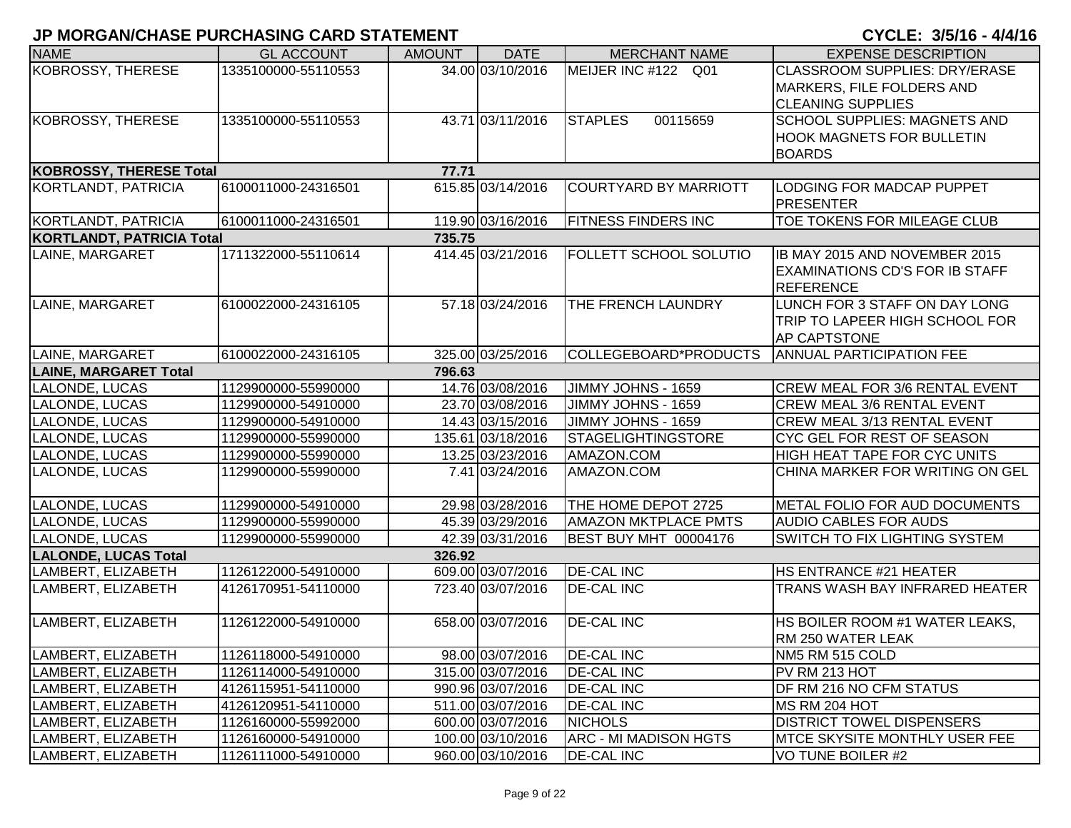| <b>NAME</b>                      | <b>GL ACCOUNT</b>   | <b>AMOUNT</b> | <b>DATE</b>       | <b>MERCHANT NAME</b>          | <b>EXPENSE DESCRIPTION</b>                    |
|----------------------------------|---------------------|---------------|-------------------|-------------------------------|-----------------------------------------------|
| KOBROSSY, THERESE                | 1335100000-55110553 |               | 34.00 03/10/2016  | MEIJER INC #122 Q01           | <b>CLASSROOM SUPPLIES: DRY/ERASE</b>          |
|                                  |                     |               |                   |                               | MARKERS, FILE FOLDERS AND                     |
|                                  |                     |               |                   |                               | <b>CLEANING SUPPLIES</b>                      |
| KOBROSSY, THERESE                | 1335100000-55110553 |               | 43.71 03/11/2016  | 00115659<br><b>STAPLES</b>    | <b>SCHOOL SUPPLIES: MAGNETS AND</b>           |
|                                  |                     |               |                   |                               | <b>HOOK MAGNETS FOR BULLETIN</b>              |
|                                  |                     |               |                   |                               | <b>BOARDS</b>                                 |
| <b>KOBROSSY, THERESE Total</b>   |                     | 77.71         |                   |                               |                                               |
| KORTLANDT, PATRICIA              | 6100011000-24316501 |               | 615.85 03/14/2016 | <b>COURTYARD BY MARRIOTT</b>  | <b>LODGING FOR MADCAP PUPPET</b><br>PRESENTER |
| KORTLANDT, PATRICIA              | 6100011000-24316501 |               | 119.90 03/16/2016 | <b>FITNESS FINDERS INC</b>    | TOE TOKENS FOR MILEAGE CLUB                   |
| <b>KORTLANDT, PATRICIA Total</b> |                     | 735.75        |                   |                               |                                               |
| LAINE, MARGARET                  | 1711322000-55110614 |               | 414.45 03/21/2016 | <b>FOLLETT SCHOOL SOLUTIO</b> | IB MAY 2015 AND NOVEMBER 2015                 |
|                                  |                     |               |                   |                               | EXAMINATIONS CD'S FOR IB STAFF                |
|                                  |                     |               |                   |                               | REFERENCE                                     |
| LAINE, MARGARET                  | 6100022000-24316105 |               | 57.18 03/24/2016  | THE FRENCH LAUNDRY            | LUNCH FOR 3 STAFF ON DAY LONG                 |
|                                  |                     |               |                   |                               | TRIP TO LAPEER HIGH SCHOOL FOR                |
|                                  |                     |               |                   |                               | <b>AP CAPTSTONE</b>                           |
| LAINE, MARGARET                  | 6100022000-24316105 |               | 325.00 03/25/2016 | COLLEGEBOARD*PRODUCTS         | <b>ANNUAL PARTICIPATION FEE</b>               |
| <b>LAINE, MARGARET Total</b>     |                     | 796.63        |                   |                               |                                               |
| LALONDE, LUCAS                   | 1129900000-55990000 |               | 14.76 03/08/2016  | JIMMY JOHNS - 1659            | <b>CREW MEAL FOR 3/6 RENTAL EVENT</b>         |
| LALONDE, LUCAS                   | 1129900000-54910000 |               | 23.70 03/08/2016  | JIMMY JOHNS - 1659            | <b>CREW MEAL 3/6 RENTAL EVENT</b>             |
| LALONDE, LUCAS                   | 1129900000-54910000 |               | 14.43 03/15/2016  | JIMMY JOHNS - 1659            | <b>CREW MEAL 3/13 RENTAL EVENT</b>            |
| LALONDE, LUCAS                   | 1129900000-55990000 |               | 135.61 03/18/2016 | <b>STAGELIGHTINGSTORE</b>     | CYC GEL FOR REST OF SEASON                    |
| LALONDE, LUCAS                   | 1129900000-55990000 |               | 13.25 03/23/2016  | AMAZON.COM                    | HIGH HEAT TAPE FOR CYC UNITS                  |
| LALONDE, LUCAS                   | 1129900000-55990000 |               | 7.41 03/24/2016   | AMAZON.COM                    | CHINA MARKER FOR WRITING ON GEL               |
| LALONDE, LUCAS                   | 1129900000-54910000 |               | 29.98 03/28/2016  | THE HOME DEPOT 2725           | METAL FOLIO FOR AUD DOCUMENTS                 |
| LALONDE, LUCAS                   | 1129900000-55990000 |               | 45.39 03/29/2016  | <b>AMAZON MKTPLACE PMTS</b>   | AUDIO CABLES FOR AUDS                         |
| LALONDE, LUCAS                   | 1129900000-55990000 |               | 42.39 03/31/2016  | <b>BEST BUY MHT 00004176</b>  | SWITCH TO FIX LIGHTING SYSTEM                 |
| <b>LALONDE, LUCAS Total</b>      |                     | 326.92        |                   |                               |                                               |
| LAMBERT, ELIZABETH               | 1126122000-54910000 |               | 609.00 03/07/2016 | <b>DE-CAL INC</b>             | <b>HS ENTRANCE #21 HEATER</b>                 |
| LAMBERT, ELIZABETH               | 4126170951-54110000 |               | 723.40 03/07/2016 | <b>DE-CAL INC</b>             | TRANS WASH BAY INFRARED HEATER                |
| LAMBERT, ELIZABETH               | 1126122000-54910000 |               | 658.00 03/07/2016 | <b>DE-CAL INC</b>             | <b>HS BOILER ROOM #1 WATER LEAKS,</b>         |
|                                  |                     |               |                   |                               | RM 250 WATER LEAK                             |
| LAMBERT, ELIZABETH               | 1126118000-54910000 |               | 98.00 03/07/2016  | <b>DE-CAL INC</b>             | NM5 RM 515 COLD                               |
| LAMBERT, ELIZABETH               | 1126114000-54910000 |               | 315.00 03/07/2016 | <b>DE-CAL INC</b>             | PV RM 213 HOT                                 |
| LAMBERT, ELIZABETH               | 4126115951-54110000 |               | 990.96 03/07/2016 | <b>DE-CAL INC</b>             | <b>DF RM 216 NO CFM STATUS</b>                |
| LAMBERT, ELIZABETH               | 4126120951-54110000 |               | 511.00 03/07/2016 | <b>DE-CAL INC</b>             | MS RM 204 HOT                                 |
| LAMBERT, ELIZABETH               | 1126160000-55992000 |               | 600.00 03/07/2016 | <b>NICHOLS</b>                | <b>DISTRICT TOWEL DISPENSERS</b>              |
| LAMBERT, ELIZABETH               | 1126160000-54910000 |               | 100.00 03/10/2016 | <b>ARC - MI MADISON HGTS</b>  | <b>IMTCE SKYSITE MONTHLY USER FEE</b>         |
| LAMBERT, ELIZABETH               | 1126111000-54910000 |               | 960.00 03/10/2016 | <b>DE-CAL INC</b>             | VO TUNE BOILER #2                             |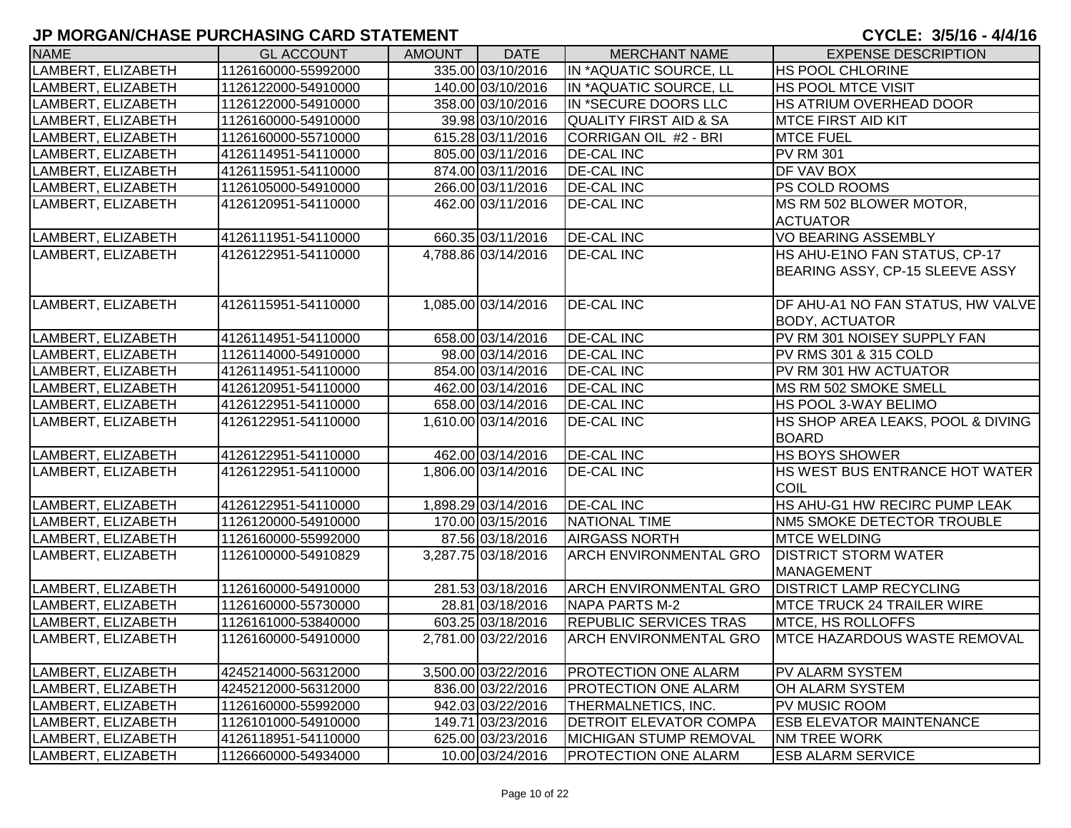| <b>NAME</b>        | <b>GL ACCOUNT</b>   | <b>AMOUNT</b> | <b>DATE</b>         | <b>MERCHANT NAME</b>              | <b>EXPENSE DESCRIPTION</b>                        |
|--------------------|---------------------|---------------|---------------------|-----------------------------------|---------------------------------------------------|
| LAMBERT, ELIZABETH | 1126160000-55992000 |               | 335.00 03/10/2016   | IN *AQUATIC SOURCE, LL            | <b>HS POOL CHLORINE</b>                           |
| LAMBERT, ELIZABETH | 1126122000-54910000 |               | 140.00 03/10/2016   | IN *AQUATIC SOURCE, LL            | <b>HS POOL MTCE VISIT</b>                         |
| LAMBERT, ELIZABETH | 1126122000-54910000 |               | 358.00 03/10/2016   | IN *SECURE DOORS LLC              | HS ATRIUM OVERHEAD DOOR                           |
| LAMBERT, ELIZABETH | 1126160000-54910000 |               | 39.98 03/10/2016    | <b>QUALITY FIRST AID &amp; SA</b> | <b>MTCE FIRST AID KIT</b>                         |
| LAMBERT, ELIZABETH | 1126160000-55710000 |               | 615.28 03/11/2016   | CORRIGAN OIL #2 - BRI             | <b>MTCE FUEL</b>                                  |
| LAMBERT, ELIZABETH | 4126114951-54110000 |               | 805.00 03/11/2016   | <b>DE-CAL INC</b>                 | <b>PV RM 301</b>                                  |
| LAMBERT, ELIZABETH | 4126115951-54110000 |               | 874.00 03/11/2016   | <b>DE-CAL INC</b>                 | <b>DF VAV BOX</b>                                 |
| LAMBERT, ELIZABETH | 1126105000-54910000 |               | 266.00 03/11/2016   | <b>DE-CAL INC</b>                 | <b>PS COLD ROOMS</b>                              |
| LAMBERT, ELIZABETH | 4126120951-54110000 |               | 462.00 03/11/2016   | <b>DE-CAL INC</b>                 | MS RM 502 BLOWER MOTOR,<br><b>ACTUATOR</b>        |
| LAMBERT, ELIZABETH | 4126111951-54110000 |               | 660.35 03/11/2016   | <b>DE-CAL INC</b>                 | <b>VO BEARING ASSEMBLY</b>                        |
| LAMBERT, ELIZABETH | 4126122951-54110000 |               | 4,788.86 03/14/2016 | <b>DE-CAL INC</b>                 | HS AHU-E1NO FAN STATUS, CP-17                     |
|                    |                     |               |                     |                                   | BEARING ASSY, CP-15 SLEEVE ASSY                   |
| LAMBERT, ELIZABETH | 4126115951-54110000 |               | 1,085.00 03/14/2016 | <b>DE-CAL INC</b>                 | DF AHU-A1 NO FAN STATUS, HW VALVE                 |
|                    |                     |               |                     |                                   | <b>BODY, ACTUATOR</b>                             |
| LAMBERT, ELIZABETH | 4126114951-54110000 |               | 658.00 03/14/2016   | <b>DE-CAL INC</b>                 | PV RM 301 NOISEY SUPPLY FAN                       |
| LAMBERT, ELIZABETH | 1126114000-54910000 |               | 98.00 03/14/2016    | <b>DE-CAL INC</b>                 | PV RMS 301 & 315 COLD                             |
| LAMBERT, ELIZABETH | 4126114951-54110000 |               | 854.00 03/14/2016   | <b>DE-CAL INC</b>                 | PV RM 301 HW ACTUATOR                             |
| LAMBERT, ELIZABETH | 4126120951-54110000 |               | 462.00 03/14/2016   | <b>DE-CAL INC</b>                 | MS RM 502 SMOKE SMELL                             |
| LAMBERT, ELIZABETH | 4126122951-54110000 |               | 658.00 03/14/2016   | <b>DE-CAL INC</b>                 | <b>HS POOL 3-WAY BELIMO</b>                       |
| LAMBERT, ELIZABETH | 4126122951-54110000 |               | 1,610.00 03/14/2016 | <b>DE-CAL INC</b>                 | HS SHOP AREA LEAKS, POOL & DIVING<br><b>BOARD</b> |
| LAMBERT, ELIZABETH | 4126122951-54110000 |               | 462.00 03/14/2016   | <b>DE-CAL INC</b>                 | <b>HS BOYS SHOWER</b>                             |
| LAMBERT, ELIZABETH | 4126122951-54110000 |               | 1,806.00 03/14/2016 | <b>DE-CAL INC</b>                 | HS WEST BUS ENTRANCE HOT WATER<br>COIL            |
| LAMBERT, ELIZABETH | 4126122951-54110000 |               | 1,898.29 03/14/2016 | <b>DE-CAL INC</b>                 | HS AHU-G1 HW RECIRC PUMP LEAK                     |
| LAMBERT, ELIZABETH | 1126120000-54910000 |               | 170.00 03/15/2016   | NATIONAL TIME                     | NM5 SMOKE DETECTOR TROUBLE                        |
| LAMBERT, ELIZABETH | 1126160000-55992000 |               | 87.56 03/18/2016    | <b>AIRGASS NORTH</b>              | <b>MTCE WELDING</b>                               |
| LAMBERT, ELIZABETH | 1126100000-54910829 |               | 3,287.75 03/18/2016 | <b>ARCH ENVIRONMENTAL GRO</b>     | <b>DISTRICT STORM WATER</b><br><b>MANAGEMENT</b>  |
| LAMBERT, ELIZABETH | 1126160000-54910000 |               | 281.53 03/18/2016   | <b>ARCH ENVIRONMENTAL GRO</b>     | <b>DISTRICT LAMP RECYCLING</b>                    |
| LAMBERT, ELIZABETH | 1126160000-55730000 |               | 28.81 03/18/2016    | NAPA PARTS M-2                    | <b>MTCE TRUCK 24 TRAILER WIRE</b>                 |
| LAMBERT, ELIZABETH | 1126161000-53840000 |               | 603.25 03/18/2016   | <b>REPUBLIC SERVICES TRAS</b>     | MTCE, HS ROLLOFFS                                 |
| LAMBERT, ELIZABETH | 1126160000-54910000 |               | 2,781.00 03/22/2016 | <b>ARCH ENVIRONMENTAL GRO</b>     | <b>IMTCE HAZARDOUS WASTE REMOVAL</b>              |
| LAMBERT, ELIZABETH | 4245214000-56312000 |               | 3,500.00 03/22/2016 | <b>PROTECTION ONE ALARM</b>       | <b>PV ALARM SYSTEM</b>                            |
| LAMBERT, ELIZABETH | 4245212000-56312000 |               | 836.00 03/22/2016   | PROTECTION ONE ALARM              | <b>OH ALARM SYSTEM</b>                            |
| LAMBERT, ELIZABETH | 1126160000-55992000 |               | 942.03 03/22/2016   | THERMALNETICS, INC.               | <b>PV MUSIC ROOM</b>                              |
| LAMBERT, ELIZABETH | 1126101000-54910000 |               | 149.71 03/23/2016   | <b>DETROIT ELEVATOR COMPA</b>     | <b>ESB ELEVATOR MAINTENANCE</b>                   |
| LAMBERT, ELIZABETH | 4126118951-54110000 |               | 625.00 03/23/2016   | MICHIGAN STUMP REMOVAL            | <b>NM TREE WORK</b>                               |
| LAMBERT, ELIZABETH | 1126660000-54934000 |               | 10.00 03/24/2016    | PROTECTION ONE ALARM              | <b>ESB ALARM SERVICE</b>                          |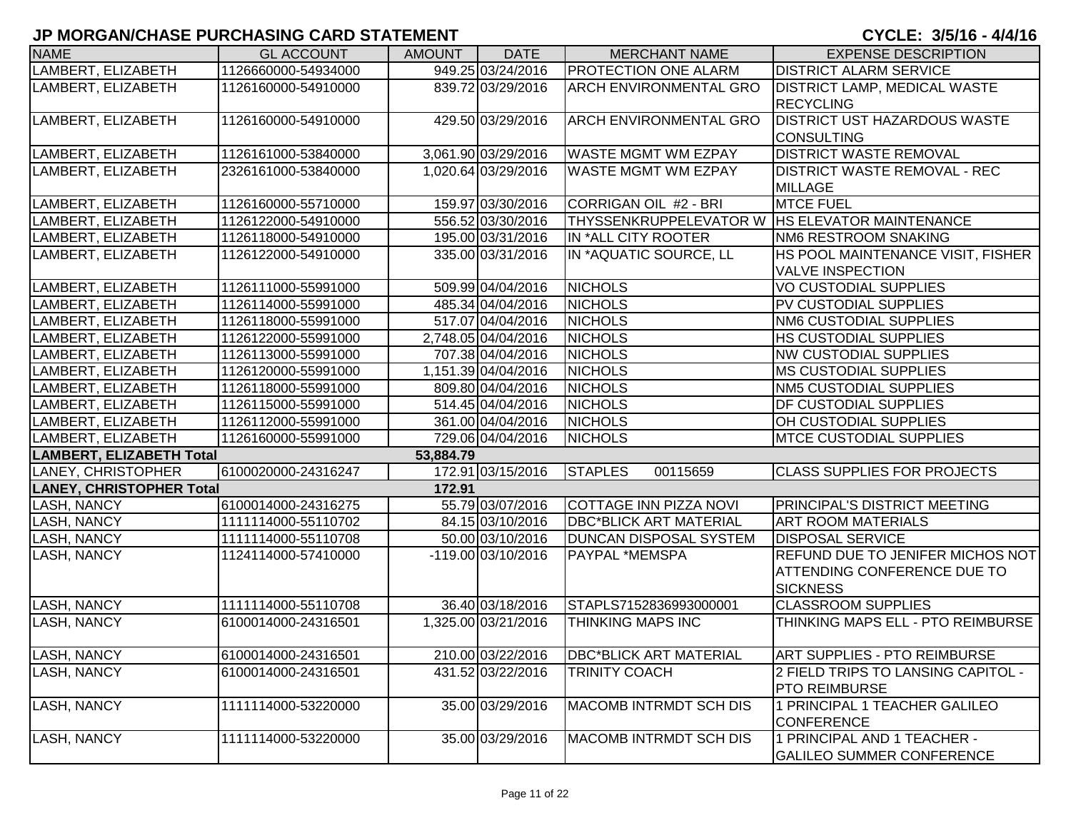| <b>NAME</b>                     | <b>GL ACCOUNT</b>   | <b>AMOUNT</b> | <b>DATE</b>         | <b>MERCHANT NAME</b>                             | <b>EXPENSE DESCRIPTION</b>                                                                |
|---------------------------------|---------------------|---------------|---------------------|--------------------------------------------------|-------------------------------------------------------------------------------------------|
| LAMBERT, ELIZABETH              | 1126660000-54934000 |               | 949.25 03/24/2016   | <b>PROTECTION ONE ALARM</b>                      | <b>DISTRICT ALARM SERVICE</b>                                                             |
| LAMBERT, ELIZABETH              | 1126160000-54910000 |               | 839.72 03/29/2016   | <b>ARCH ENVIRONMENTAL GRO</b>                    | <b>DISTRICT LAMP, MEDICAL WASTE</b><br><b>RECYCLING</b>                                   |
| LAMBERT, ELIZABETH              | 1126160000-54910000 |               | 429.50 03/29/2016   | ARCH ENVIRONMENTAL GRO                           | <b>DISTRICT UST HAZARDOUS WASTE</b><br><b>CONSULTING</b>                                  |
| LAMBERT, ELIZABETH              | 1126161000-53840000 |               | 3,061.90 03/29/2016 | <b>WASTE MGMT WM EZPAY</b>                       | <b>DISTRICT WASTE REMOVAL</b>                                                             |
| LAMBERT, ELIZABETH              | 2326161000-53840000 |               | 1,020.64 03/29/2016 | <b>WASTE MGMT WM EZPAY</b>                       | <b>DISTRICT WASTE REMOVAL - REC</b><br><b>MILLAGE</b>                                     |
| LAMBERT, ELIZABETH              | 1126160000-55710000 |               | 159.97 03/30/2016   | CORRIGAN OIL #2 - BRI                            | <b>MTCE FUEL</b>                                                                          |
| LAMBERT, ELIZABETH              | 1126122000-54910000 |               | 556.52 03/30/2016   | THYSSENKRUPPELEVATOR W   HS ELEVATOR MAINTENANCE |                                                                                           |
| LAMBERT, ELIZABETH              | 1126118000-54910000 |               | 195.00 03/31/2016   | IN *ALL CITY ROOTER                              | <b>NM6 RESTROOM SNAKING</b>                                                               |
| LAMBERT, ELIZABETH              | 1126122000-54910000 |               | 335.00 03/31/2016   | IN *AQUATIC SOURCE, LL                           | HS POOL MAINTENANCE VISIT, FISHER<br><b>VALVE INSPECTION</b>                              |
| LAMBERT, ELIZABETH              | 1126111000-55991000 |               | 509.99 04/04/2016   | <b>NICHOLS</b>                                   | <b>VO CUSTODIAL SUPPLIES</b>                                                              |
| LAMBERT, ELIZABETH              | 1126114000-55991000 |               | 485.34 04/04/2016   | <b>NICHOLS</b>                                   | PV CUSTODIAL SUPPLIES                                                                     |
| LAMBERT, ELIZABETH              | 1126118000-55991000 |               | 517.07 04/04/2016   | <b>NICHOLS</b>                                   | <b>NM6 CUSTODIAL SUPPLIES</b>                                                             |
| LAMBERT, ELIZABETH              | 1126122000-55991000 |               | 2,748.05 04/04/2016 | <b>NICHOLS</b>                                   | HS CUSTODIAL SUPPLIES                                                                     |
| LAMBERT, ELIZABETH              | 1126113000-55991000 |               | 707.38 04/04/2016   | <b>NICHOLS</b>                                   | <b>NW CUSTODIAL SUPPLIES</b>                                                              |
| LAMBERT, ELIZABETH              | 1126120000-55991000 |               | 1,151.39 04/04/2016 | <b>NICHOLS</b>                                   | <b>MS CUSTODIAL SUPPLIES</b>                                                              |
| LAMBERT, ELIZABETH              | 1126118000-55991000 |               | 809.80 04/04/2016   | <b>NICHOLS</b>                                   | <b>NM5 CUSTODIAL SUPPLIES</b>                                                             |
| LAMBERT, ELIZABETH              | 1126115000-55991000 |               | 514.45 04/04/2016   | <b>NICHOLS</b>                                   | <b>DF CUSTODIAL SUPPLIES</b>                                                              |
| LAMBERT, ELIZABETH              | 1126112000-55991000 |               | 361.00 04/04/2016   | <b>NICHOLS</b>                                   | OH CUSTODIAL SUPPLIES                                                                     |
| LAMBERT, ELIZABETH              | 1126160000-55991000 |               | 729.06 04/04/2016   | <b>NICHOLS</b>                                   | <b>MTCE CUSTODIAL SUPPLIES</b>                                                            |
| <b>LAMBERT, ELIZABETH Total</b> |                     | 53,884.79     |                     |                                                  |                                                                                           |
| LANEY, CHRISTOPHER              | 6100020000-24316247 |               | 172.91 03/15/2016   | <b>STAPLES</b><br>00115659                       | <b>CLASS SUPPLIES FOR PROJECTS</b>                                                        |
| <b>LANEY, CHRISTOPHER Total</b> |                     | 172.91        |                     |                                                  |                                                                                           |
| <b>LASH, NANCY</b>              | 6100014000-24316275 |               | 55.79 03/07/2016    | COTTAGE INN PIZZA NOVI                           | <b>PRINCIPAL'S DISTRICT MEETING</b>                                                       |
| <b>LASH, NANCY</b>              | 1111114000-55110702 |               | 84.15 03/10/2016    | <b>DBC*BLICK ART MATERIAL</b>                    | <b>ART ROOM MATERIALS</b>                                                                 |
| <b>LASH, NANCY</b>              | 1111114000-55110708 |               | 50.00 03/10/2016    | <b>DUNCAN DISPOSAL SYSTEM</b>                    | <b>DISPOSAL SERVICE</b>                                                                   |
| <b>LASH, NANCY</b>              | 1124114000-57410000 |               | -119.00 03/10/2016  | PAYPAL *MEMSPA                                   | REFUND DUE TO JENIFER MICHOS NOT<br><b>ATTENDING CONFERENCE DUE TO</b><br><b>SICKNESS</b> |
| <b>LASH, NANCY</b>              | 1111114000-55110708 |               | 36.40 03/18/2016    | STAPLS7152836993000001                           | <b>CLASSROOM SUPPLIES</b>                                                                 |
| <b>LASH, NANCY</b>              | 6100014000-24316501 |               | 1,325.00 03/21/2016 | THINKING MAPS INC                                | THINKING MAPS ELL - PTO REIMBURSE                                                         |
| <b>LASH, NANCY</b>              | 6100014000-24316501 |               | 210.00 03/22/2016   | <b>DBC*BLICK ART MATERIAL</b>                    | <b>ART SUPPLIES - PTO REIMBURSE</b>                                                       |
| LASH, NANCY                     | 6100014000-24316501 |               | 431.52 03/22/2016   | TRINITY COACH                                    | 2 FIELD TRIPS TO LANSING CAPITOL -<br><b>PTO REIMBURSE</b>                                |
| <b>LASH, NANCY</b>              | 1111114000-53220000 |               | 35.00 03/29/2016    | <b>MACOMB INTRMDT SCH DIS</b>                    | 1 PRINCIPAL 1 TEACHER GALILEO<br><b>CONFERENCE</b>                                        |
| <b>LASH, NANCY</b>              | 1111114000-53220000 |               | 35.00 03/29/2016    | MACOMB INTRMDT SCH DIS                           | 1 PRINCIPAL AND 1 TEACHER -<br><b>GALILEO SUMMER CONFERENCE</b>                           |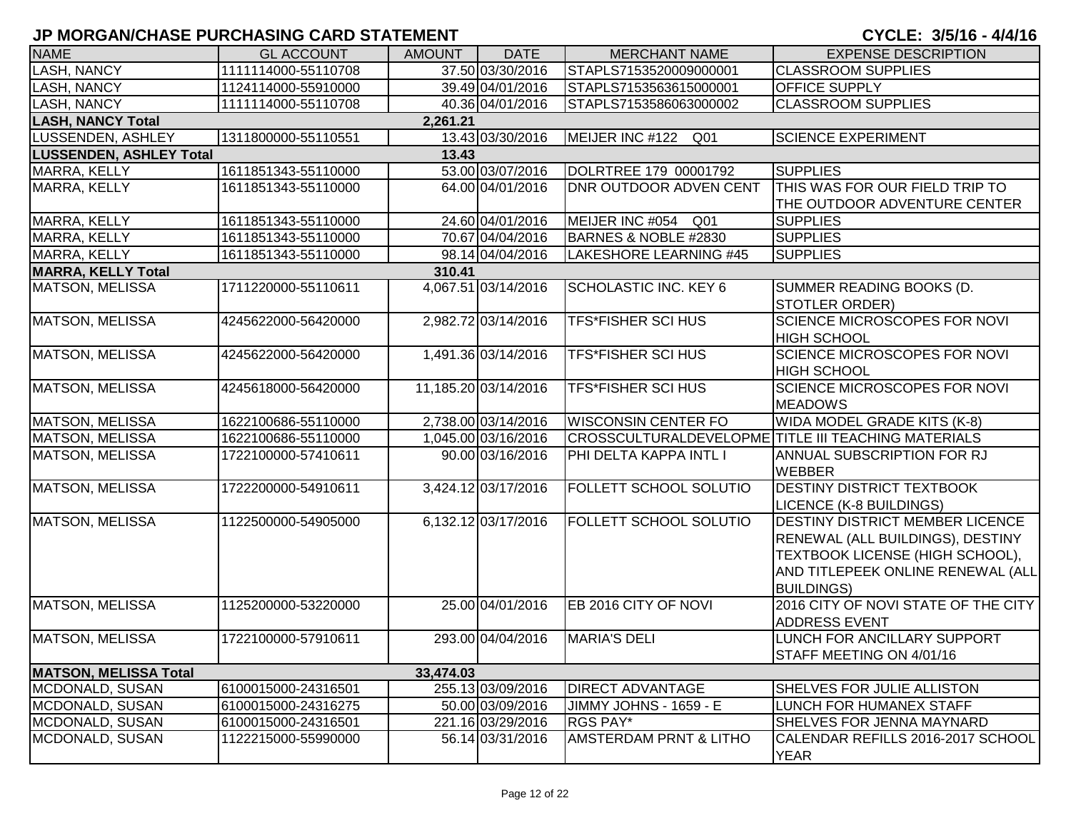| <b>NAME</b>                    | <b>GL ACCOUNT</b>   | <b>AMOUNT</b> | <b>DATE</b>          | <b>MERCHANT NAME</b>               | <b>EXPENSE DESCRIPTION</b>                                                                                                                                       |
|--------------------------------|---------------------|---------------|----------------------|------------------------------------|------------------------------------------------------------------------------------------------------------------------------------------------------------------|
| <b>LASH, NANCY</b>             | 1111114000-55110708 |               | 37.50 03/30/2016     | STAPLS7153520009000001             | <b>CLASSROOM SUPPLIES</b>                                                                                                                                        |
| <b>LASH, NANCY</b>             | 1124114000-55910000 |               | 39.49 04/01/2016     | STAPLS7153563615000001             | <b>OFFICE SUPPLY</b>                                                                                                                                             |
| <b>LASH, NANCY</b>             | 1111114000-55110708 |               | 40.36 04/01/2016     | STAPLS7153586063000002             | <b>CLASSROOM SUPPLIES</b>                                                                                                                                        |
| <b>LASH, NANCY Total</b>       |                     | 2,261.21      |                      |                                    |                                                                                                                                                                  |
| LUSSENDEN, ASHLEY              | 1311800000-55110551 |               | 13.43 03/30/2016     | MEIJER INC #122<br>Q <sub>01</sub> | <b>SCIENCE EXPERIMENT</b>                                                                                                                                        |
| <b>LUSSENDEN, ASHLEY Total</b> |                     | 13.43         |                      |                                    |                                                                                                                                                                  |
| MARRA, KELLY                   | 1611851343-55110000 |               | 53.00 03/07/2016     | DOLRTREE 179 00001792              | <b>SUPPLIES</b>                                                                                                                                                  |
| MARRA, KELLY                   | 1611851343-55110000 |               | 64.00 04/01/2016     | <b>DNR OUTDOOR ADVEN CENT</b>      | THIS WAS FOR OUR FIELD TRIP TO<br>THE OUTDOOR ADVENTURE CENTER                                                                                                   |
| MARRA, KELLY                   | 1611851343-55110000 |               | 24.60 04/01/2016     | MEIJER INC #054<br>Q01             | <b>SUPPLIES</b>                                                                                                                                                  |
| MARRA, KELLY                   | 1611851343-55110000 |               | 70.67 04/04/2016     | BARNES & NOBLE #2830               | <b>SUPPLIES</b>                                                                                                                                                  |
| MARRA, KELLY                   | 1611851343-55110000 |               | 98.14 04/04/2016     | LAKESHORE LEARNING #45             | <b>SUPPLIES</b>                                                                                                                                                  |
| <b>MARRA, KELLY Total</b>      |                     | 310.41        |                      |                                    |                                                                                                                                                                  |
| MATSON, MELISSA                | 1711220000-55110611 |               | 4,067.51 03/14/2016  | <b>SCHOLASTIC INC. KEY 6</b>       | SUMMER READING BOOKS (D.<br><b>STOTLER ORDER)</b>                                                                                                                |
| MATSON, MELISSA                | 4245622000-56420000 |               | 2,982.72 03/14/2016  | <b>TFS*FISHER SCI HUS</b>          | <b>SCIENCE MICROSCOPES FOR NOVI</b><br><b>HIGH SCHOOL</b>                                                                                                        |
| <b>MATSON, MELISSA</b>         | 4245622000-56420000 |               | 1,491.36 03/14/2016  | <b>TFS*FISHER SCI HUS</b>          | <b>SCIENCE MICROSCOPES FOR NOVI</b><br><b>HIGH SCHOOL</b>                                                                                                        |
| MATSON, MELISSA                | 4245618000-56420000 |               | 11,185.20 03/14/2016 | <b>TFS*FISHER SCI HUS</b>          | <b>SCIENCE MICROSCOPES FOR NOVI</b><br><b>MEADOWS</b>                                                                                                            |
| <b>MATSON, MELISSA</b>         | 1622100686-55110000 |               | 2,738.00 03/14/2016  | <b>WISCONSIN CENTER FO</b>         | WIDA MODEL GRADE KITS (K-8)                                                                                                                                      |
| <b>MATSON, MELISSA</b>         | 1622100686-55110000 |               | 1,045.00 03/16/2016  |                                    | CROSSCULTURALDEVELOPME TITLE III TEACHING MATERIALS                                                                                                              |
| MATSON, MELISSA                | 1722100000-57410611 |               | 90.00 03/16/2016     | PHI DELTA KAPPA INTL I             | <b>ANNUAL SUBSCRIPTION FOR RJ</b><br><b>WEBBER</b>                                                                                                               |
| <b>MATSON, MELISSA</b>         | 1722200000-54910611 |               | 3,424.12 03/17/2016  | FOLLETT SCHOOL SOLUTIO             | <b>DESTINY DISTRICT TEXTBOOK</b><br>LICENCE (K-8 BUILDINGS)                                                                                                      |
| <b>MATSON, MELISSA</b>         | 1122500000-54905000 |               | 6,132.12 03/17/2016  | FOLLETT SCHOOL SOLUTIO             | DESTINY DISTRICT MEMBER LICENCE<br>RENEWAL (ALL BUILDINGS), DESTINY<br>TEXTBOOK LICENSE (HIGH SCHOOL),<br>AND TITLEPEEK ONLINE RENEWAL (ALL<br><b>BUILDINGS)</b> |
| MATSON, MELISSA                | 1125200000-53220000 |               | 25.00 04/01/2016     | EB 2016 CITY OF NOVI               | 2016 CITY OF NOVI STATE OF THE CITY<br><b>ADDRESS EVENT</b>                                                                                                      |
| <b>MATSON, MELISSA</b>         | 1722100000-57910611 |               | 293.00 04/04/2016    | <b>MARIA'S DELI</b>                | LUNCH FOR ANCILLARY SUPPORT<br>STAFF MEETING ON 4/01/16                                                                                                          |
| <b>MATSON, MELISSA Total</b>   |                     | 33,474.03     |                      |                                    |                                                                                                                                                                  |
| MCDONALD, SUSAN                | 6100015000-24316501 |               | 255.13 03/09/2016    | <b>DIRECT ADVANTAGE</b>            | SHELVES FOR JULIE ALLISTON                                                                                                                                       |
| MCDONALD, SUSAN                | 6100015000-24316275 |               | 50.00 03/09/2016     | JIMMY JOHNS - 1659 - E             | LUNCH FOR HUMANEX STAFF                                                                                                                                          |
| MCDONALD, SUSAN                | 6100015000-24316501 |               | 221.16 03/29/2016    | RGS PAY*                           | SHELVES FOR JENNA MAYNARD                                                                                                                                        |
| MCDONALD, SUSAN                | 1122215000-55990000 |               | 56.14 03/31/2016     | <b>AMSTERDAM PRNT &amp; LITHO</b>  | CALENDAR REFILLS 2016-2017 SCHOOL<br><b>YEAR</b>                                                                                                                 |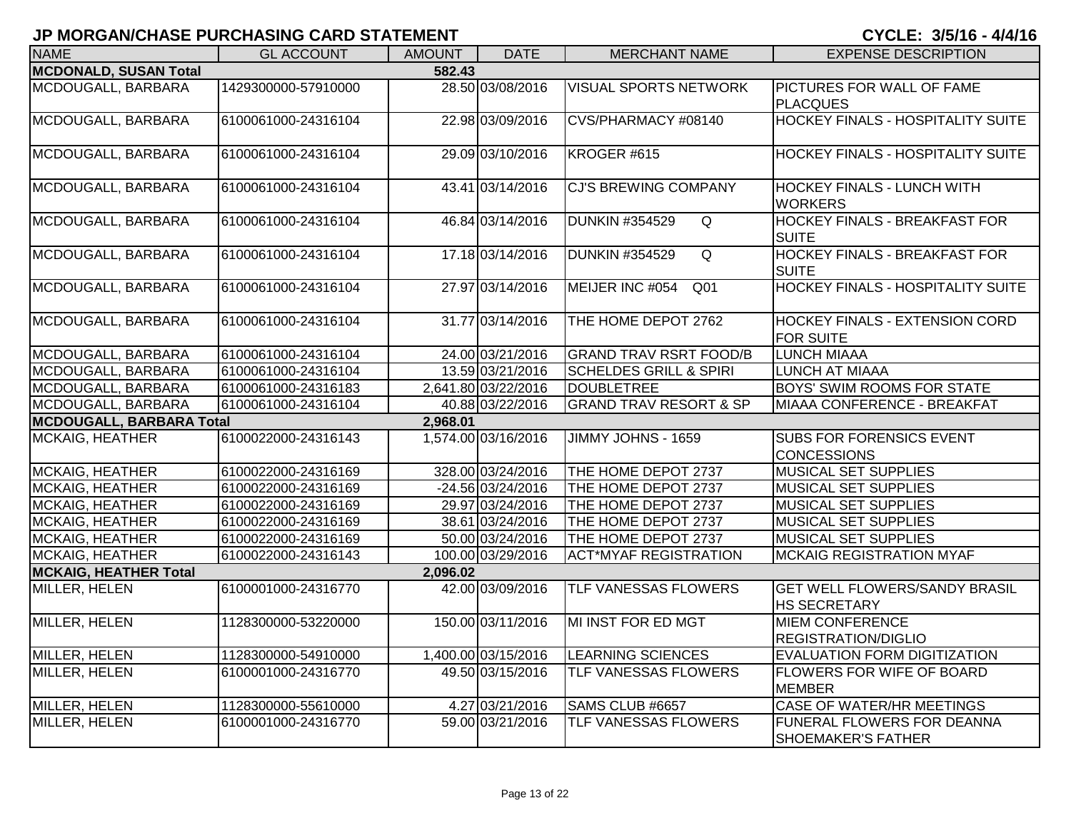| <b>NAME</b>                            | <b>GL ACCOUNT</b>   | <b>AMOUNT</b> | <b>DATE</b>         | <b>MERCHANT NAME</b>                    | <b>EXPENSE DESCRIPTION</b>                                  |  |  |  |
|----------------------------------------|---------------------|---------------|---------------------|-----------------------------------------|-------------------------------------------------------------|--|--|--|
| <b>MCDONALD, SUSAN Total</b><br>582.43 |                     |               |                     |                                         |                                                             |  |  |  |
| MCDOUGALL, BARBARA                     | 1429300000-57910000 |               | 28.50 03/08/2016    | <b>VISUAL SPORTS NETWORK</b>            | <b>PICTURES FOR WALL OF FAME</b><br><b>PLACQUES</b>         |  |  |  |
| MCDOUGALL, BARBARA                     | 6100061000-24316104 |               | 22.98 03/09/2016    | CVS/PHARMACY #08140                     | <b>HOCKEY FINALS - HOSPITALITY SUITE</b>                    |  |  |  |
| MCDOUGALL, BARBARA                     | 6100061000-24316104 |               | 29.09 03/10/2016    | KROGER #615                             | <b>HOCKEY FINALS - HOSPITALITY SUITE</b>                    |  |  |  |
| MCDOUGALL, BARBARA                     | 6100061000-24316104 |               | 43.41 03/14/2016    | <b>CJ'S BREWING COMPANY</b>             | <b>HOCKEY FINALS - LUNCH WITH</b><br><b>WORKERS</b>         |  |  |  |
| MCDOUGALL, BARBARA                     | 6100061000-24316104 |               | 46.84 03/14/2016    | <b>DUNKIN #354529</b><br>$\overline{Q}$ | <b>HOCKEY FINALS - BREAKFAST FOR</b><br><b>SUITE</b>        |  |  |  |
| MCDOUGALL, BARBARA                     | 6100061000-24316104 |               | 17.18 03/14/2016    | <b>DUNKIN #354529</b><br>$\overline{Q}$ | <b>HOCKEY FINALS - BREAKFAST FOR</b><br><b>SUITE</b>        |  |  |  |
| MCDOUGALL, BARBARA                     | 6100061000-24316104 |               | 27.97 03/14/2016    | MEIJER INC #054<br>Q <sub>01</sub>      | <b>HOCKEY FINALS - HOSPITALITY SUITE</b>                    |  |  |  |
| MCDOUGALL, BARBARA                     | 6100061000-24316104 |               | 31.77 03/14/2016    | THE HOME DEPOT 2762                     | <b>HOCKEY FINALS - EXTENSION CORD</b><br><b>FOR SUITE</b>   |  |  |  |
| MCDOUGALL, BARBARA                     | 6100061000-24316104 |               | 24.00 03/21/2016    | <b>GRAND TRAV RSRT FOOD/B</b>           | <b>LUNCH MIAAA</b>                                          |  |  |  |
| MCDOUGALL, BARBARA                     | 6100061000-24316104 |               | 13.59 03/21/2016    | <b>SCHELDES GRILL &amp; SPIRI</b>       | <b>LUNCH AT MIAAA</b>                                       |  |  |  |
| MCDOUGALL, BARBARA                     | 6100061000-24316183 |               | 2,641.80 03/22/2016 | DOUBLETREE                              | <b>BOYS' SWIM ROOMS FOR STATE</b>                           |  |  |  |
| MCDOUGALL, BARBARA                     | 6100061000-24316104 |               | 40.88 03/22/2016    | <b>GRAND TRAV RESORT &amp; SP</b>       | MIAAA CONFERENCE - BREAKFAT                                 |  |  |  |
| <b>MCDOUGALL, BARBARA Total</b>        |                     | 2,968.01      |                     |                                         |                                                             |  |  |  |
| <b>MCKAIG, HEATHER</b>                 | 6100022000-24316143 |               | 1,574.00 03/16/2016 | JIMMY JOHNS - 1659                      | <b>SUBS FOR FORENSICS EVENT</b><br><b>CONCESSIONS</b>       |  |  |  |
| <b>MCKAIG, HEATHER</b>                 | 6100022000-24316169 |               | 328.00 03/24/2016   | THE HOME DEPOT 2737                     | <b>MUSICAL SET SUPPLIES</b>                                 |  |  |  |
| MCKAIG, HEATHER                        | 6100022000-24316169 |               | -24.56 03/24/2016   | THE HOME DEPOT 2737                     | MUSICAL SET SUPPLIES                                        |  |  |  |
| MCKAIG, HEATHER                        | 6100022000-24316169 |               | 29.97 03/24/2016    | THE HOME DEPOT 2737                     | <b>MUSICAL SET SUPPLIES</b>                                 |  |  |  |
| <b>MCKAIG, HEATHER</b>                 | 6100022000-24316169 |               | 38.61 03/24/2016    | THE HOME DEPOT 2737                     | MUSICAL SET SUPPLIES                                        |  |  |  |
| <b>MCKAIG, HEATHER</b>                 | 6100022000-24316169 |               | 50.00 03/24/2016    | THE HOME DEPOT 2737                     | <b>MUSICAL SET SUPPLIES</b>                                 |  |  |  |
| <b>MCKAIG, HEATHER</b>                 | 6100022000-24316143 |               | 100.00 03/29/2016   | <b>ACT*MYAF REGISTRATION</b>            | <b>MCKAIG REGISTRATION MYAF</b>                             |  |  |  |
| <b>MCKAIG, HEATHER Total</b>           |                     | 2,096.02      |                     |                                         |                                                             |  |  |  |
| MILLER, HELEN                          | 6100001000-24316770 |               | 42.00 03/09/2016    | TLF VANESSAS FLOWERS                    | <b>GET WELL FLOWERS/SANDY BRASIL</b><br><b>HS SECRETARY</b> |  |  |  |
| <b>MILLER, HELEN</b>                   | 1128300000-53220000 |               | 150.00 03/11/2016   | MI INST FOR ED MGT                      | <b>MIEM CONFERENCE</b><br><b>REGISTRATION/DIGLIO</b>        |  |  |  |
| MILLER, HELEN                          | 1128300000-54910000 |               | 1,400.00 03/15/2016 | <b>LEARNING SCIENCES</b>                | EVALUATION FORM DIGITIZATION                                |  |  |  |
| MILLER, HELEN                          | 6100001000-24316770 |               | 49.50 03/15/2016    | TLF VANESSAS FLOWERS                    | <b>FLOWERS FOR WIFE OF BOARD</b><br><b>MEMBER</b>           |  |  |  |
| <b>MILLER, HELEN</b>                   | 1128300000-55610000 |               | 4.27 03/21/2016     | SAMS CLUB #6657                         | <b>CASE OF WATER/HR MEETINGS</b>                            |  |  |  |
| MILLER, HELEN                          | 6100001000-24316770 |               | 59.00 03/21/2016    | TLF VANESSAS FLOWERS                    | FUNERAL FLOWERS FOR DEANNA<br>SHOEMAKER'S FATHER            |  |  |  |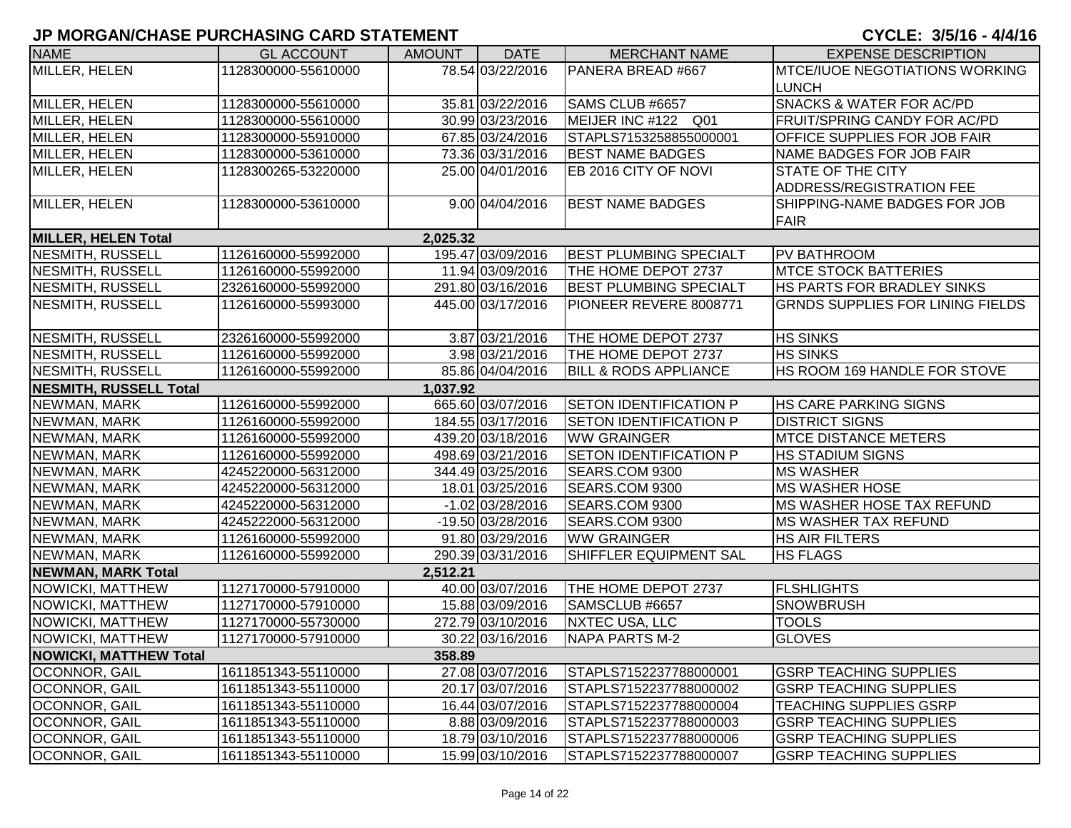| <b>NAME</b>                   | <b>GL ACCOUNT</b>   | <b>AMOUNT</b> | <b>DATE</b>        | <b>MERCHANT NAME</b>             | <b>EXPENSE DESCRIPTION</b>              |
|-------------------------------|---------------------|---------------|--------------------|----------------------------------|-----------------------------------------|
| <b>MILLER, HELEN</b>          | 1128300000-55610000 |               | 78.54 03/22/2016   | PANERA BREAD #667                | <b>MTCE/IUOE NEGOTIATIONS WORKING</b>   |
|                               |                     |               |                    |                                  | <b>LUNCH</b>                            |
| MILLER, HELEN                 | 1128300000-55610000 |               | 35.81 03/22/2016   | SAMS CLUB #6657                  | <b>SNACKS &amp; WATER FOR AC/PD</b>     |
| MILLER, HELEN                 | 1128300000-55610000 |               | 30.99 03/23/2016   | MEIJER INC #122 Q01              | <b>FRUIT/SPRING CANDY FOR AC/PD</b>     |
| MILLER, HELEN                 | 1128300000-55910000 |               | 67.85 03/24/2016   | STAPLS7153258855000001           | <b>OFFICE SUPPLIES FOR JOB FAIR</b>     |
| MILLER, HELEN                 | 1128300000-53610000 |               | 73.36 03/31/2016   | <b>BEST NAME BADGES</b>          | NAME BADGES FOR JOB FAIR                |
| MILLER, HELEN                 | 1128300265-53220000 |               | 25.00 04/01/2016   | EB 2016 CITY OF NOVI             | STATE OF THE CITY                       |
|                               |                     |               |                    |                                  | ADDRESS/REGISTRATION FEE                |
| MILLER, HELEN                 | 1128300000-53610000 |               | 9.00 04/04/2016    | <b>BEST NAME BADGES</b>          | SHIPPING-NAME BADGES FOR JOB            |
|                               |                     |               |                    |                                  | <b>FAIR</b>                             |
| <b>MILLER, HELEN Total</b>    |                     | 2,025.32      |                    |                                  |                                         |
| <b>NESMITH, RUSSELL</b>       | 1126160000-55992000 |               | 195.47 03/09/2016  | <b>BEST PLUMBING SPECIALT</b>    | <b>PV BATHROOM</b>                      |
| <b>NESMITH, RUSSELL</b>       | 1126160000-55992000 |               | 11.94 03/09/2016   | THE HOME DEPOT 2737              | <b>MTCE STOCK BATTERIES</b>             |
| <b>NESMITH, RUSSELL</b>       | 2326160000-55992000 |               | 291.80 03/16/2016  | <b>BEST PLUMBING SPECIALT</b>    | HS PARTS FOR BRADLEY SINKS              |
| <b>NESMITH, RUSSELL</b>       | 1126160000-55993000 |               | 445.00 03/17/2016  | PIONEER REVERE 8008771           | <b>GRNDS SUPPLIES FOR LINING FIELDS</b> |
|                               |                     |               |                    |                                  |                                         |
| NESMITH, RUSSELL              | 2326160000-55992000 |               | 3.87 03/21/2016    | THE HOME DEPOT 2737              | <b>HS SINKS</b>                         |
| NESMITH, RUSSELL              | 1126160000-55992000 |               | 3.98 03/21/2016    | THE HOME DEPOT 2737              | <b>HS SINKS</b>                         |
| NESMITH, RUSSELL              | 1126160000-55992000 |               | 85.86 04/04/2016   | <b>BILL &amp; RODS APPLIANCE</b> | <b>HS ROOM 169 HANDLE FOR STOVE</b>     |
| NESMITH, RUSSELL Total        |                     | 1,037.92      |                    |                                  |                                         |
| NEWMAN, MARK                  | 1126160000-55992000 |               | 665.60 03/07/2016  | <b>SETON IDENTIFICATION P</b>    | <b>HS CARE PARKING SIGNS</b>            |
| NEWMAN, MARK                  | 1126160000-55992000 |               | 184.55 03/17/2016  | <b>SETON IDENTIFICATION P</b>    | <b>DISTRICT SIGNS</b>                   |
| NEWMAN, MARK                  | 1126160000-55992000 |               | 439.20 03/18/2016  | <b>WW GRAINGER</b>               | <b>MTCE DISTANCE METERS</b>             |
| NEWMAN, MARK                  | 1126160000-55992000 |               | 498.69 03/21/2016  | <b>SETON IDENTIFICATION P</b>    | <b>HS STADIUM SIGNS</b>                 |
| NEWMAN, MARK                  | 4245220000-56312000 |               | 344.49 03/25/2016  | SEARS.COM 9300                   | <b>MS WASHER</b>                        |
| NEWMAN, MARK                  | 4245220000-56312000 |               | 18.01 03/25/2016   | SEARS.COM 9300                   | <b>MS WASHER HOSE</b>                   |
| NEWMAN, MARK                  | 4245220000-56312000 |               | $-1.02$ 03/28/2016 | SEARS.COM 9300                   | <b>IMS WASHER HOSE TAX REFUND</b>       |
| NEWMAN, MARK                  | 4245222000-56312000 |               | -19.50 03/28/2016  | SEARS.COM 9300                   | <b>IMS WASHER TAX REFUND</b>            |
| NEWMAN, MARK                  | 1126160000-55992000 |               | 91.80 03/29/2016   | <b>WW GRAINGER</b>               | <b>HS AIR FILTERS</b>                   |
| NEWMAN, MARK                  | 1126160000-55992000 |               | 290.39 03/31/2016  | SHIFFLER EQUIPMENT SAL           | <b>HS FLAGS</b>                         |
| <b>NEWMAN, MARK Total</b>     |                     | 2,512.21      |                    |                                  |                                         |
| NOWICKI, MATTHEW              | 1127170000-57910000 |               | 40.00 03/07/2016   | THE HOME DEPOT 2737              | <b>FLSHLIGHTS</b>                       |
| NOWICKI, MATTHEW              | 1127170000-57910000 |               | 15.88 03/09/2016   | SAMSCLUB #6657                   | <b>SNOWBRUSH</b>                        |
| NOWICKI, MATTHEW              | 1127170000-55730000 |               | 272.79 03/10/2016  | <b>NXTEC USA, LLC</b>            | <b>TOOLS</b>                            |
| <b>NOWICKI, MATTHEW</b>       | 1127170000-57910000 |               | 30.22 03/16/2016   | NAPA PARTS M-2                   | <b>GLOVES</b>                           |
| <b>NOWICKI, MATTHEW Total</b> |                     | 358.89        |                    |                                  |                                         |
| OCONNOR, GAIL                 | 1611851343-55110000 |               | 27.08 03/07/2016   | STAPLS7152237788000001           | <b>GSRP TEACHING SUPPLIES</b>           |
| OCONNOR, GAIL                 | 1611851343-55110000 |               | 20.17 03/07/2016   | STAPLS7152237788000002           | <b>GSRP TEACHING SUPPLIES</b>           |
| <b>OCONNOR, GAIL</b>          | 1611851343-55110000 |               | 16.44 03/07/2016   | STAPLS7152237788000004           | <b>TEACHING SUPPLIES GSRP</b>           |
| <b>OCONNOR, GAIL</b>          | 1611851343-55110000 |               | 8.88 03/09/2016    | STAPLS7152237788000003           | <b>GSRP TEACHING SUPPLIES</b>           |
| <b>OCONNOR, GAIL</b>          | 1611851343-55110000 |               | 18.79 03/10/2016   | STAPLS7152237788000006           | <b>GSRP TEACHING SUPPLIES</b>           |
| OCONNOR, GAIL                 | 1611851343-55110000 |               | 15.99 03/10/2016   | STAPLS7152237788000007           | <b>GSRP TEACHING SUPPLIES</b>           |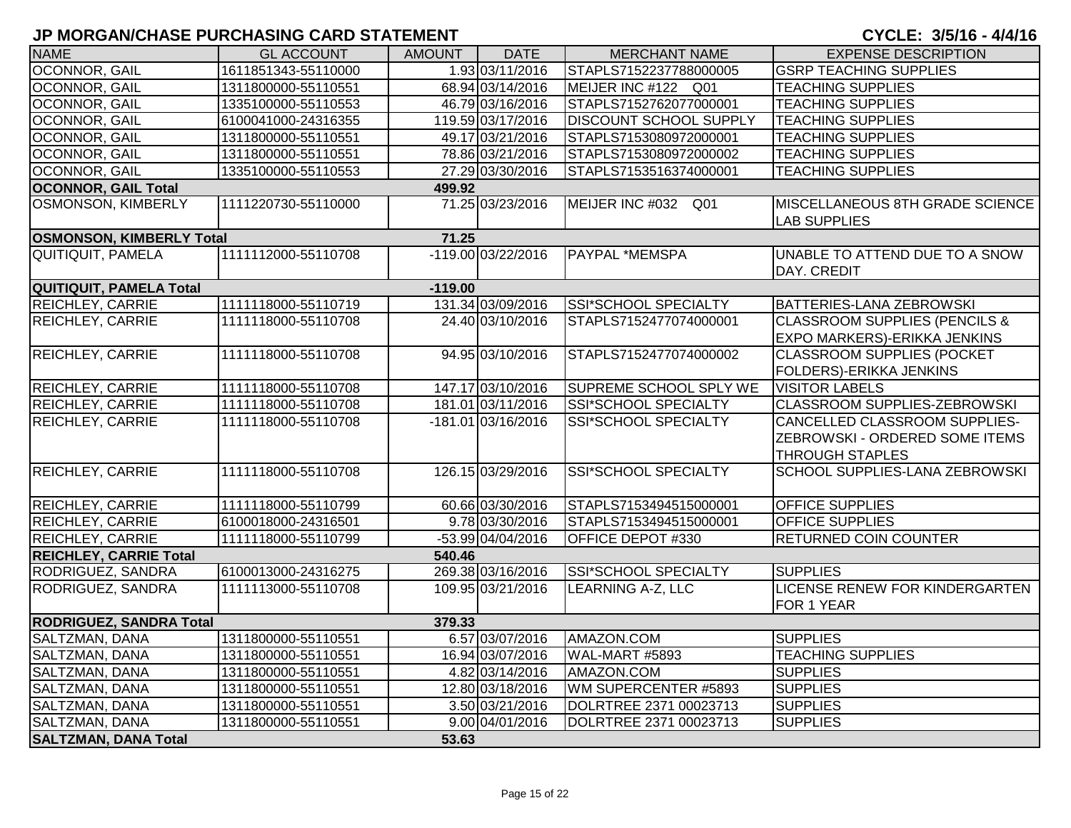| <b>NAME</b>                     | <b>GL ACCOUNT</b>   | AMOUNT    | <b>DATE</b>        | <b>MERCHANT NAME</b>          | <b>EXPENSE DESCRIPTION</b>                                                         |
|---------------------------------|---------------------|-----------|--------------------|-------------------------------|------------------------------------------------------------------------------------|
| <b>OCONNOR, GAIL</b>            | 1611851343-55110000 |           | 1.93 03/11/2016    | STAPLS7152237788000005        | <b>GSRP TEACHING SUPPLIES</b>                                                      |
| OCONNOR, GAIL                   | 1311800000-55110551 |           | 68.94 03/14/2016   | MEIJER INC #122 Q01           | <b>TEACHING SUPPLIES</b>                                                           |
| OCONNOR, GAIL                   | 1335100000-55110553 |           | 46.79 03/16/2016   | STAPLS7152762077000001        | <b>TEACHING SUPPLIES</b>                                                           |
| OCONNOR, GAIL                   | 6100041000-24316355 |           | 119.59 03/17/2016  | <b>DISCOUNT SCHOOL SUPPLY</b> | <b>TEACHING SUPPLIES</b>                                                           |
| OCONNOR, GAIL                   | 1311800000-55110551 |           | 49.17 03/21/2016   | STAPLS7153080972000001        | <b>TEACHING SUPPLIES</b>                                                           |
| OCONNOR, GAIL                   | 1311800000-55110551 |           | 78.86 03/21/2016   | STAPLS7153080972000002        | <b>TEACHING SUPPLIES</b>                                                           |
| OCONNOR, GAIL                   | 1335100000-55110553 |           | 27.29 03/30/2016   | STAPLS7153516374000001        | <b>TEACHING SUPPLIES</b>                                                           |
| <b>OCONNOR, GAIL Total</b>      |                     | 499.92    |                    |                               |                                                                                    |
| <b>OSMONSON, KIMBERLY</b>       | 1111220730-55110000 |           | 71.25 03/23/2016   | MEIJER INC #032 Q01           | MISCELLANEOUS 8TH GRADE SCIENCE<br><b>LAB SUPPLIES</b>                             |
| <b>OSMONSON, KIMBERLY Total</b> |                     | 71.25     |                    |                               |                                                                                    |
| <b>QUITIQUIT, PAMELA</b>        | 1111112000-55110708 |           | -119.00 03/22/2016 | <b>PAYPAL *MEMSPA</b>         | UNABLE TO ATTEND DUE TO A SNOW<br>DAY. CREDIT                                      |
| QUITIQUIT, PAMELA Total         |                     | $-119.00$ |                    |                               |                                                                                    |
| <b>REICHLEY, CARRIE</b>         | 1111118000-55110719 |           | 131.34 03/09/2016  | <b>SSI*SCHOOL SPECIALTY</b>   | BATTERIES-LANA ZEBROWSKI                                                           |
| <b>REICHLEY, CARRIE</b>         | 1111118000-55110708 |           | 24.40 03/10/2016   | STAPLS7152477074000001        | <b>CLASSROOM SUPPLIES (PENCILS &amp;</b><br>EXPO MARKERS)-ERIKKA JENKINS           |
| REICHLEY, CARRIE                | 1111118000-55110708 |           | 94.95 03/10/2016   | STAPLS7152477074000002        | <b>CLASSROOM SUPPLIES (POCKET</b><br>FOLDERS)-ERIKKA JENKINS                       |
| REICHLEY, CARRIE                | 1111118000-55110708 |           | 147.17 03/10/2016  | <b>SUPREME SCHOOL SPLY WE</b> | <b>VISITOR LABELS</b>                                                              |
| REICHLEY, CARRIE                | 1111118000-55110708 |           | 181.01 03/11/2016  | SSI*SCHOOL SPECIALTY          | CLASSROOM SUPPLIES-ZEBROWSKI                                                       |
| REICHLEY, CARRIE                | 1111118000-55110708 |           | -181.01 03/16/2016 | SSI*SCHOOL SPECIALTY          | CANCELLED CLASSROOM SUPPLIES-<br>ZEBROWSKI - ORDERED SOME ITEMS<br>THROUGH STAPLES |
| <b>REICHLEY, CARRIE</b>         | 1111118000-55110708 |           | 126.15 03/29/2016  | <b>SSI*SCHOOL SPECIALTY</b>   | SCHOOL SUPPLIES-LANA ZEBROWSKI                                                     |
| REICHLEY, CARRIE                | 1111118000-55110799 |           | 60.66 03/30/2016   | STAPLS7153494515000001        | OFFICE SUPPLIES                                                                    |
| REICHLEY, CARRIE                | 6100018000-24316501 |           | 9.78 03/30/2016    | STAPLS7153494515000001        | <b>OFFICE SUPPLIES</b>                                                             |
| <b>REICHLEY, CARRIE</b>         | 1111118000-55110799 |           | -53.99 04/04/2016  | OFFICE DEPOT #330             | <b>RETURNED COIN COUNTER</b>                                                       |
| <b>REICHLEY, CARRIE Total</b>   |                     | 540.46    |                    |                               |                                                                                    |
| RODRIGUEZ, SANDRA               | 6100013000-24316275 |           | 269.38 03/16/2016  | SSI*SCHOOL SPECIALTY          | <b>SUPPLIES</b>                                                                    |
| RODRIGUEZ, SANDRA               | 1111113000-55110708 |           | 109.95 03/21/2016  | <b>LEARNING A-Z, LLC</b>      | LICENSE RENEW FOR KINDERGARTEN<br>FOR 1 YEAR                                       |
| <b>RODRIGUEZ, SANDRA Total</b>  |                     | 379.33    |                    |                               |                                                                                    |
| SALTZMAN, DANA                  | 1311800000-55110551 |           | 6.57 03/07/2016    | AMAZON.COM                    | <b>SUPPLIES</b>                                                                    |
| SALTZMAN, DANA                  | 1311800000-55110551 |           | 16.94 03/07/2016   | WAL-MART #5893                | <b>TEACHING SUPPLIES</b>                                                           |
| SALTZMAN, DANA                  | 1311800000-55110551 |           | 4.82 03/14/2016    | AMAZON.COM                    | <b>SUPPLIES</b>                                                                    |
| SALTZMAN, DANA                  | 1311800000-55110551 |           | 12.80 03/18/2016   | WM SUPERCENTER #5893          | <b>SUPPLIES</b>                                                                    |
| SALTZMAN, DANA                  | 1311800000-55110551 |           | 3.50 03/21/2016    | DOLRTREE 2371 00023713        | <b>SUPPLIES</b>                                                                    |
| SALTZMAN, DANA                  | 1311800000-55110551 |           | 9.00 04/01/2016    | DOLRTREE 2371 00023713        | <b>SUPPLIES</b>                                                                    |
| <b>SALTZMAN, DANA Total</b>     |                     | 53.63     |                    |                               |                                                                                    |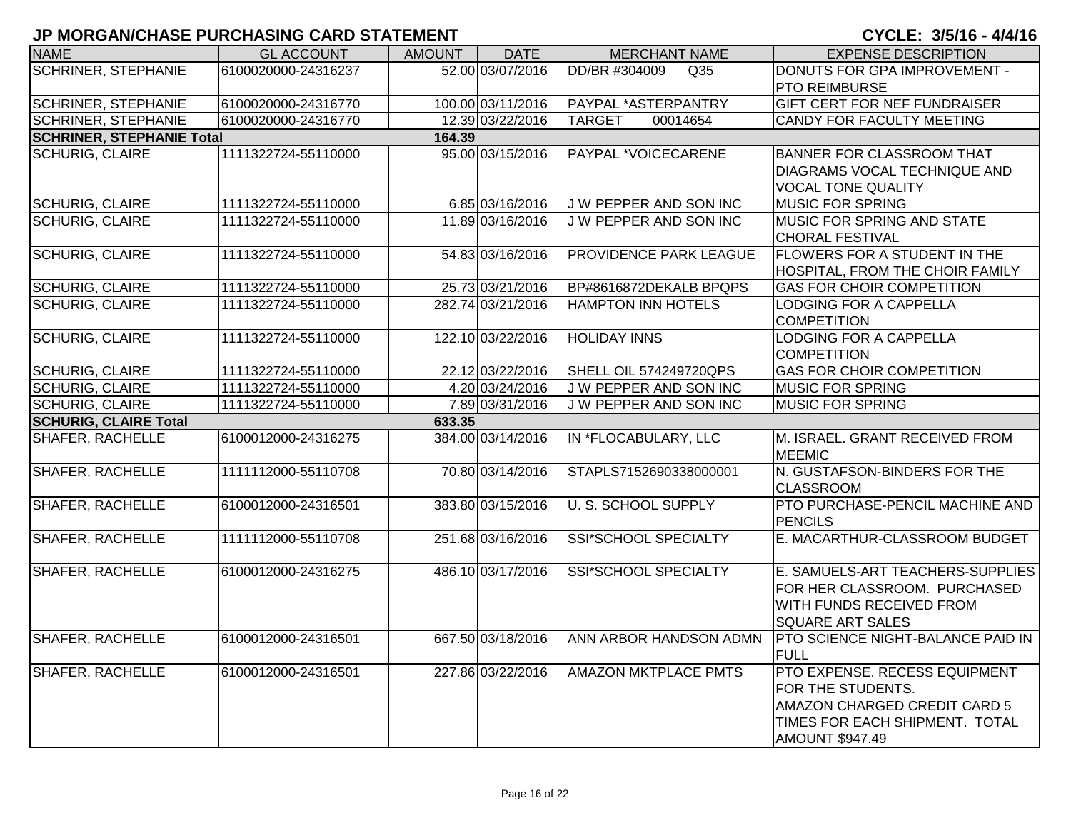| <b>NAME</b>                      | <b>GL ACCOUNT</b>   | <b>AMOUNT</b> | <b>DATE</b>       | <b>MERCHANT NAME</b>             | <b>EXPENSE DESCRIPTION</b>        |
|----------------------------------|---------------------|---------------|-------------------|----------------------------------|-----------------------------------|
| <b>SCHRINER, STEPHANIE</b>       | 6100020000-24316237 |               | 52.00 03/07/2016  | DD/BR #304009<br>Q <sub>35</sub> | DONUTS FOR GPA IMPROVEMENT -      |
|                                  |                     |               |                   |                                  | PTO REIMBURSE                     |
| <b>SCHRINER, STEPHANIE</b>       | 6100020000-24316770 |               | 100.00 03/11/2016 | PAYPAL *ASTERPANTRY              | GIFT CERT FOR NEF FUNDRAISER      |
| <b>SCHRINER, STEPHANIE</b>       | 6100020000-24316770 |               | 12.39 03/22/2016  | <b>TARGET</b><br>00014654        | CANDY FOR FACULTY MEETING         |
| <b>SCHRINER, STEPHANIE Total</b> |                     | 164.39        |                   |                                  |                                   |
| <b>SCHURIG, CLAIRE</b>           | 1111322724-55110000 |               | 95.00 03/15/2016  | PAYPAL *VOICECARENE              | <b>BANNER FOR CLASSROOM THAT</b>  |
|                                  |                     |               |                   |                                  | DIAGRAMS VOCAL TECHNIQUE AND      |
|                                  |                     |               |                   |                                  | <b>VOCAL TONE QUALITY</b>         |
| <b>SCHURIG, CLAIRE</b>           | 1111322724-55110000 |               | 6.85 03/16/2016   | J W PEPPER AND SON INC           | MUSIC FOR SPRING                  |
| <b>SCHURIG, CLAIRE</b>           | 1111322724-55110000 |               | 11.89 03/16/2016  | <b>JW PEPPER AND SON INC</b>     | MUSIC FOR SPRING AND STATE        |
|                                  |                     |               |                   |                                  | <b>CHORAL FESTIVAL</b>            |
| <b>SCHURIG, CLAIRE</b>           | 1111322724-55110000 |               | 54.83 03/16/2016  | PROVIDENCE PARK LEAGUE           | FLOWERS FOR A STUDENT IN THE      |
|                                  |                     |               |                   |                                  | HOSPITAL, FROM THE CHOIR FAMILY   |
| <b>SCHURIG, CLAIRE</b>           | 1111322724-55110000 |               | 25.73 03/21/2016  | BP#8616872DEKALB BPQPS           | <b>GAS FOR CHOIR COMPETITION</b>  |
| <b>SCHURIG, CLAIRE</b>           | 1111322724-55110000 |               | 282.74 03/21/2016 | <b>HAMPTON INN HOTELS</b>        | LODGING FOR A CAPPELLA            |
|                                  |                     |               |                   |                                  | <b>COMPETITION</b>                |
| <b>SCHURIG, CLAIRE</b>           | 1111322724-55110000 |               | 122.10 03/22/2016 | <b>HOLIDAY INNS</b>              | <b>LODGING FOR A CAPPELLA</b>     |
|                                  |                     |               |                   |                                  | <b>COMPETITION</b>                |
| <b>SCHURIG, CLAIRE</b>           | 1111322724-55110000 |               | 22.12 03/22/2016  | SHELL OIL 574249720QPS           | <b>GAS FOR CHOIR COMPETITION</b>  |
| <b>SCHURIG, CLAIRE</b>           | 1111322724-55110000 |               | 4.20 03/24/2016   | <b>JW PEPPER AND SON INC</b>     | <b>MUSIC FOR SPRING</b>           |
| <b>SCHURIG, CLAIRE</b>           | 1111322724-55110000 |               | 7.89 03/31/2016   | J W PEPPER AND SON INC           | <b>MUSIC FOR SPRING</b>           |
| <b>SCHURIG, CLAIRE Total</b>     |                     | 633.35        |                   |                                  |                                   |
| <b>SHAFER, RACHELLE</b>          | 6100012000-24316275 |               | 384.00 03/14/2016 | IN *FLOCABULARY, LLC             | M. ISRAEL. GRANT RECEIVED FROM    |
|                                  |                     |               |                   |                                  | <b>MEEMIC</b>                     |
| <b>SHAFER, RACHELLE</b>          | 1111112000-55110708 |               | 70.80 03/14/2016  | STAPLS7152690338000001           | N. GUSTAFSON-BINDERS FOR THE      |
|                                  |                     |               |                   |                                  | <b>CLASSROOM</b>                  |
| <b>SHAFER, RACHELLE</b>          | 6100012000-24316501 |               | 383.80 03/15/2016 | <b>U. S. SCHOOL SUPPLY</b>       | PTO PURCHASE-PENCIL MACHINE AND   |
|                                  |                     |               |                   |                                  | <b>PENCILS</b>                    |
| <b>SHAFER, RACHELLE</b>          | 1111112000-55110708 |               | 251.68 03/16/2016 | <b>SSI*SCHOOL SPECIALTY</b>      | E. MACARTHUR-CLASSROOM BUDGET     |
|                                  |                     |               |                   |                                  |                                   |
| <b>SHAFER, RACHELLE</b>          | 6100012000-24316275 |               | 486.10 03/17/2016 | SSI*SCHOOL SPECIALTY             | E. SAMUELS-ART TEACHERS-SUPPLIES  |
|                                  |                     |               |                   |                                  | FOR HER CLASSROOM. PURCHASED      |
|                                  |                     |               |                   |                                  | WITH FUNDS RECEIVED FROM          |
|                                  |                     |               |                   |                                  | SQUARE ART SALES                  |
| <b>SHAFER, RACHELLE</b>          | 6100012000-24316501 |               | 667.50 03/18/2016 | ANN ARBOR HANDSON ADMN           | PTO SCIENCE NIGHT-BALANCE PAID IN |
|                                  |                     |               |                   |                                  | <b>FULL</b>                       |
| <b>SHAFER, RACHELLE</b>          | 6100012000-24316501 |               | 227.86 03/22/2016 | <b>AMAZON MKTPLACE PMTS</b>      | PTO EXPENSE. RECESS EQUIPMENT     |
|                                  |                     |               |                   |                                  | FOR THE STUDENTS.                 |
|                                  |                     |               |                   |                                  | AMAZON CHARGED CREDIT CARD 5      |
|                                  |                     |               |                   |                                  | TIMES FOR EACH SHIPMENT. TOTAL    |
|                                  |                     |               |                   |                                  | <b>AMOUNT \$947.49</b>            |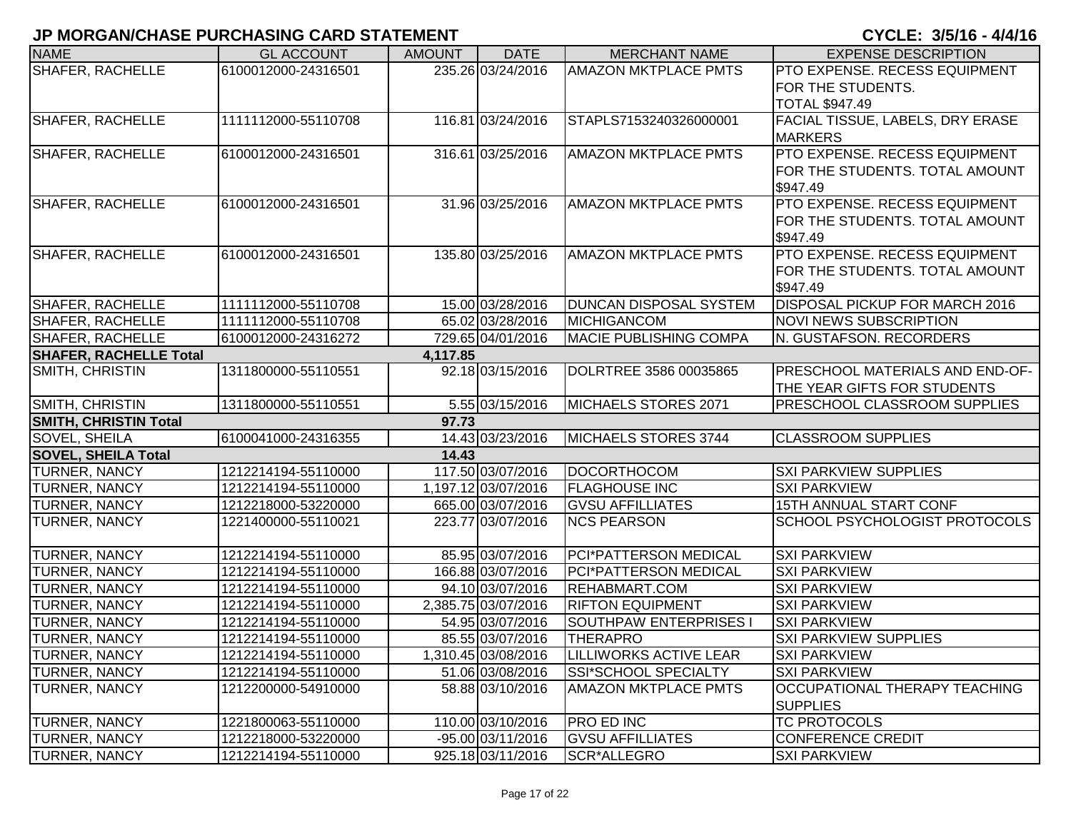| <b>NAME</b>                   | <b>GL ACCOUNT</b>   | <b>AMOUNT</b> | <b>DATE</b>         | <b>MERCHANT NAME</b>          | <b>EXPENSE DESCRIPTION</b>            |
|-------------------------------|---------------------|---------------|---------------------|-------------------------------|---------------------------------------|
| SHAFER, RACHELLE              | 6100012000-24316501 |               | 235.26 03/24/2016   | <b>AMAZON MKTPLACE PMTS</b>   | <b>PTO EXPENSE. RECESS EQUIPMENT</b>  |
|                               |                     |               |                     |                               | FOR THE STUDENTS.                     |
|                               |                     |               |                     |                               | <b>TOTAL \$947.49</b>                 |
| <b>SHAFER, RACHELLE</b>       | 1111112000-55110708 |               | 116.81 03/24/2016   | STAPLS7153240326000001        | FACIAL TISSUE, LABELS, DRY ERASE      |
|                               |                     |               |                     |                               | <b>MARKERS</b>                        |
| <b>SHAFER, RACHELLE</b>       | 6100012000-24316501 |               | 316.61 03/25/2016   | <b>AMAZON MKTPLACE PMTS</b>   | PTO EXPENSE. RECESS EQUIPMENT         |
|                               |                     |               |                     |                               | FOR THE STUDENTS. TOTAL AMOUNT        |
|                               |                     |               |                     |                               | \$947.49                              |
| <b>SHAFER, RACHELLE</b>       | 6100012000-24316501 |               | 31.96 03/25/2016    | <b>AMAZON MKTPLACE PMTS</b>   | PTO EXPENSE, RECESS EQUIPMENT         |
|                               |                     |               |                     |                               | FOR THE STUDENTS. TOTAL AMOUNT        |
|                               |                     |               |                     |                               | \$947.49                              |
| <b>SHAFER, RACHELLE</b>       | 6100012000-24316501 |               | 135.80 03/25/2016   | <b>AMAZON MKTPLACE PMTS</b>   | PTO EXPENSE. RECESS EQUIPMENT         |
|                               |                     |               |                     |                               | FOR THE STUDENTS. TOTAL AMOUNT        |
|                               |                     |               |                     |                               | \$947.49                              |
| <b>SHAFER, RACHELLE</b>       | 1111112000-55110708 |               | 15.00 03/28/2016    | <b>DUNCAN DISPOSAL SYSTEM</b> | <b>DISPOSAL PICKUP FOR MARCH 2016</b> |
| <b>SHAFER, RACHELLE</b>       | 1111112000-55110708 |               | 65.02 03/28/2016    | <b>IMICHIGANCOM</b>           | <b>NOVI NEWS SUBSCRIPTION</b>         |
| <b>SHAFER, RACHELLE</b>       | 6100012000-24316272 |               | 729.65 04/01/2016   | <b>MACIE PUBLISHING COMPA</b> | N. GUSTAFSON. RECORDERS               |
| <b>SHAFER, RACHELLE Total</b> |                     | 4,117.85      |                     |                               |                                       |
| SMITH, CHRISTIN               | 1311800000-55110551 |               | 92.18 03/15/2016    | DOLRTREE 3586 00035865        | PRESCHOOL MATERIALS AND END-OF-       |
|                               |                     |               |                     |                               | THE YEAR GIFTS FOR STUDENTS           |
| SMITH, CHRISTIN               | 1311800000-55110551 |               | 5.55 03/15/2016     | MICHAELS STORES 2071          | PRESCHOOL CLASSROOM SUPPLIES          |
| <b>SMITH, CHRISTIN Total</b>  |                     | 97.73         |                     |                               |                                       |
| SOVEL, SHEILA                 | 6100041000-24316355 |               | 14.43 03/23/2016    | MICHAELS STORES 3744          | <b>CLASSROOM SUPPLIES</b>             |
| <b>SOVEL, SHEILA Total</b>    |                     | 14.43         |                     |                               |                                       |
| TURNER, NANCY                 | 1212214194-55110000 |               | 117.50 03/07/2016   | DOCORTHOCOM                   | <b>SXI PARKVIEW SUPPLIES</b>          |
| TURNER, NANCY                 | 1212214194-55110000 |               | 1,197.12 03/07/2016 | <b>FLAGHOUSE INC</b>          | <b>SXI PARKVIEW</b>                   |
| <b>TURNER, NANCY</b>          | 1212218000-53220000 |               | 665.00 03/07/2016   | <b>GVSU AFFILLIATES</b>       | 15TH ANNUAL START CONF                |
| <b>TURNER, NANCY</b>          | 1221400000-55110021 |               | 223.77 03/07/2016   | <b>NCS PEARSON</b>            | SCHOOL PSYCHOLOGIST PROTOCOLS         |
|                               |                     |               |                     |                               |                                       |
| <b>TURNER, NANCY</b>          | 1212214194-55110000 |               | 85.95 03/07/2016    | PCI*PATTERSON MEDICAL         | <b>SXI PARKVIEW</b>                   |
| <b>TURNER, NANCY</b>          | 1212214194-55110000 |               | 166.88 03/07/2016   | PCI*PATTERSON MEDICAL         | <b>SXI PARKVIEW</b>                   |
| <b>TURNER, NANCY</b>          | 1212214194-55110000 |               | 94.10 03/07/2016    | REHABMART.COM                 | <b>SXI PARKVIEW</b>                   |
| <b>TURNER, NANCY</b>          | 1212214194-55110000 |               | 2,385.75 03/07/2016 | <b>RIFTON EQUIPMENT</b>       | <b>SXI PARKVIEW</b>                   |
| <b>TURNER, NANCY</b>          | 1212214194-55110000 |               | 54.95 03/07/2016    | SOUTHPAW ENTERPRISES I        | <b>SXI PARKVIEW</b>                   |
| <b>TURNER, NANCY</b>          | 1212214194-55110000 |               | 85.55 03/07/2016    | <b>THERAPRO</b>               | <b>SXI PARKVIEW SUPPLIES</b>          |
| <b>TURNER, NANCY</b>          | 1212214194-55110000 |               | 1,310.45 03/08/2016 | <b>LILLIWORKS ACTIVE LEAR</b> | <b>SXI PARKVIEW</b>                   |
| <b>TURNER, NANCY</b>          | 1212214194-55110000 |               | 51.06 03/08/2016    | SSI*SCHOOL SPECIALTY          | <b>SXI PARKVIEW</b>                   |
| <b>TURNER, NANCY</b>          | 1212200000-54910000 |               | 58.88 03/10/2016    | <b>AMAZON MKTPLACE PMTS</b>   | OCCUPATIONAL THERAPY TEACHING         |
|                               |                     |               |                     |                               | <b>SUPPLIES</b>                       |
| <b>TURNER, NANCY</b>          | 1221800063-55110000 |               | 110.00 03/10/2016   | <b>PRO ED INC</b>             | <b>TC PROTOCOLS</b>                   |
| <b>TURNER, NANCY</b>          | 1212218000-53220000 |               | -95.00 03/11/2016   | <b>GVSU AFFILLIATES</b>       | <b>CONFERENCE CREDIT</b>              |
| <b>TURNER, NANCY</b>          | 1212214194-55110000 |               | 925.18 03/11/2016   | SCR*ALLEGRO                   | <b>SXI PARKVIEW</b>                   |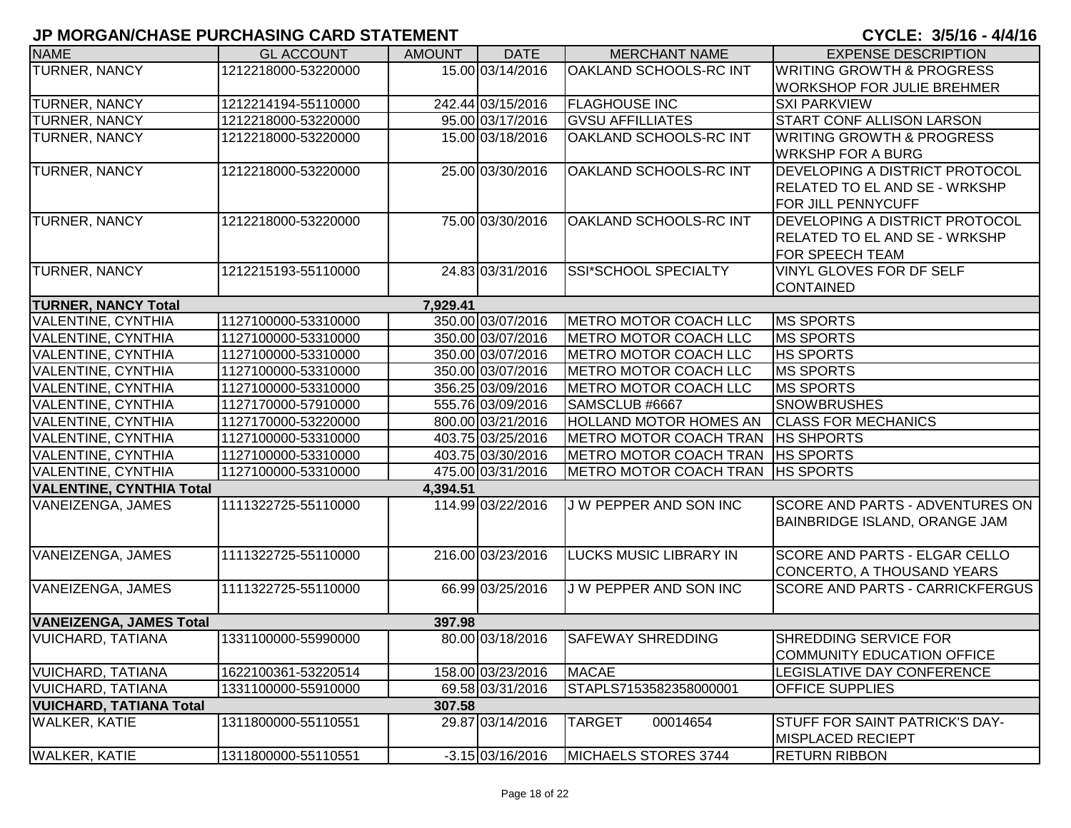| <b>NAME</b>                     | <b>GL ACCOUNT</b>   | <b>AMOUNT</b> | <b>DATE</b>        | <b>MERCHANT NAME</b>          | <b>EXPENSE DESCRIPTION</b>           |
|---------------------------------|---------------------|---------------|--------------------|-------------------------------|--------------------------------------|
| <b>TURNER, NANCY</b>            | 1212218000-53220000 |               | 15.00 03/14/2016   | <b>OAKLAND SCHOOLS-RC INT</b> | <b>WRITING GROWTH &amp; PROGRESS</b> |
|                                 |                     |               |                    |                               | <b>WORKSHOP FOR JULIE BREHMER</b>    |
| TURNER, NANCY                   | 1212214194-55110000 |               | 242.44 03/15/2016  | <b>FLAGHOUSE INC</b>          | <b>SXI PARKVIEW</b>                  |
| TURNER, NANCY                   | 1212218000-53220000 |               | 95.00 03/17/2016   | <b>GVSU AFFILLIATES</b>       | START CONF ALLISON LARSON            |
| TURNER, NANCY                   | 1212218000-53220000 |               | 15.00 03/18/2016   | OAKLAND SCHOOLS-RC INT        | <b>WRITING GROWTH &amp; PROGRESS</b> |
|                                 |                     |               |                    |                               | <b>WRKSHP FOR A BURG</b>             |
| TURNER, NANCY                   | 1212218000-53220000 |               | 25.00 03/30/2016   | OAKLAND SCHOOLS-RC INT        | DEVELOPING A DISTRICT PROTOCOL       |
|                                 |                     |               |                    |                               | <b>RELATED TO EL AND SE - WRKSHP</b> |
|                                 |                     |               |                    |                               | FOR JILL PENNYCUFF                   |
| TURNER, NANCY                   | 1212218000-53220000 |               | 75.00 03/30/2016   | OAKLAND SCHOOLS-RC INT        | DEVELOPING A DISTRICT PROTOCOL       |
|                                 |                     |               |                    |                               | <b>RELATED TO EL AND SE - WRKSHP</b> |
|                                 |                     |               |                    |                               | FOR SPEECH TEAM                      |
| TURNER, NANCY                   | 1212215193-55110000 |               | 24.83 03/31/2016   | SSI*SCHOOL SPECIALTY          | VINYL GLOVES FOR DF SELF             |
|                                 |                     |               |                    |                               | <b>CONTAINED</b>                     |
| <b>TURNER, NANCY Total</b>      |                     | 7,929.41      |                    |                               |                                      |
| VALENTINE, CYNTHIA              | 1127100000-53310000 |               | 350.00 03/07/2016  | METRO MOTOR COACH LLC         | <b>MS SPORTS</b>                     |
| VALENTINE, CYNTHIA              | 1127100000-53310000 |               | 350.00 03/07/2016  | METRO MOTOR COACH LLC         | <b>MS SPORTS</b>                     |
| VALENTINE, CYNTHIA              | 1127100000-53310000 |               | 350.00 03/07/2016  | METRO MOTOR COACH LLC         | <b>HS SPORTS</b>                     |
| VALENTINE, CYNTHIA              | 1127100000-53310000 |               | 350.00 03/07/2016  | METRO MOTOR COACH LLC         | <b>MS SPORTS</b>                     |
| VALENTINE, CYNTHIA              | 1127100000-53310000 |               | 356.25 03/09/2016  | METRO MOTOR COACH LLC         | <b>MS SPORTS</b>                     |
| VALENTINE, CYNTHIA              | 1127170000-57910000 |               | 555.76 03/09/2016  | SAMSCLUB #6667                | <b>SNOWBRUSHES</b>                   |
| VALENTINE, CYNTHIA              | 1127170000-53220000 |               | 800.00 03/21/2016  | <b>HOLLAND MOTOR HOMES AN</b> | <b>CLASS FOR MECHANICS</b>           |
| VALENTINE, CYNTHIA              | 1127100000-53310000 |               | 403.75 03/25/2016  | METRO MOTOR COACH TRAN        | <b>HS SHPORTS</b>                    |
| VALENTINE, CYNTHIA              | 1127100000-53310000 |               | 403.75 03/30/2016  | METRO MOTOR COACH TRAN        | <b>HS SPORTS</b>                     |
| VALENTINE, CYNTHIA              | 1127100000-53310000 |               | 475.00 03/31/2016  | METRO MOTOR COACH TRAN        | <b>HS SPORTS</b>                     |
| <b>VALENTINE, CYNTHIA Total</b> |                     | 4,394.51      |                    |                               |                                      |
| VANEIZENGA, JAMES               | 1111322725-55110000 |               | 114.99 03/22/2016  | J W PEPPER AND SON INC        | SCORE AND PARTS - ADVENTURES ON      |
|                                 |                     |               |                    |                               | <b>BAINBRIDGE ISLAND, ORANGE JAM</b> |
|                                 |                     |               |                    |                               |                                      |
| VANEIZENGA, JAMES               | 1111322725-55110000 |               | 216.00 03/23/2016  | <b>LUCKS MUSIC LIBRARY IN</b> | SCORE AND PARTS - ELGAR CELLO        |
|                                 |                     |               |                    |                               | CONCERTO, A THOUSAND YEARS           |
| VANEIZENGA, JAMES               | 1111322725-55110000 |               | 66.99 03/25/2016   | J W PEPPER AND SON INC        | SCORE AND PARTS - CARRICKFERGUS      |
|                                 |                     |               |                    |                               |                                      |
| <b>VANEIZENGA, JAMES Total</b>  |                     | 397.98        |                    |                               |                                      |
| <b>VUICHARD, TATIANA</b>        | 1331100000-55990000 |               | 80.00 03/18/2016   | <b>SAFEWAY SHREDDING</b>      | SHREDDING SERVICE FOR                |
|                                 |                     |               |                    |                               | <b>COMMUNITY EDUCATION OFFICE</b>    |
| <b>VUICHARD, TATIANA</b>        | 1622100361-53220514 |               | 158.00 03/23/2016  | <b>MACAE</b>                  | LEGISLATIVE DAY CONFERENCE           |
| <b>VUICHARD, TATIANA</b>        | 1331100000-55910000 |               | 69.58 03/31/2016   | STAPLS7153582358000001        | <b>OFFICE SUPPLIES</b>               |
| <b>VUICHARD, TATIANA Total</b>  |                     | 307.58        |                    |                               |                                      |
| <b>WALKER, KATIE</b>            | 1311800000-55110551 |               | 29.87 03/14/2016   | <b>TARGET</b><br>00014654     | STUFF FOR SAINT PATRICK'S DAY-       |
|                                 |                     |               |                    |                               | <b>MISPLACED RECIEPT</b>             |
| <b>WALKER, KATIE</b>            | 1311800000-55110551 |               | $-3.15$ 03/16/2016 | MICHAELS STORES 3744          | <b>RETURN RIBBON</b>                 |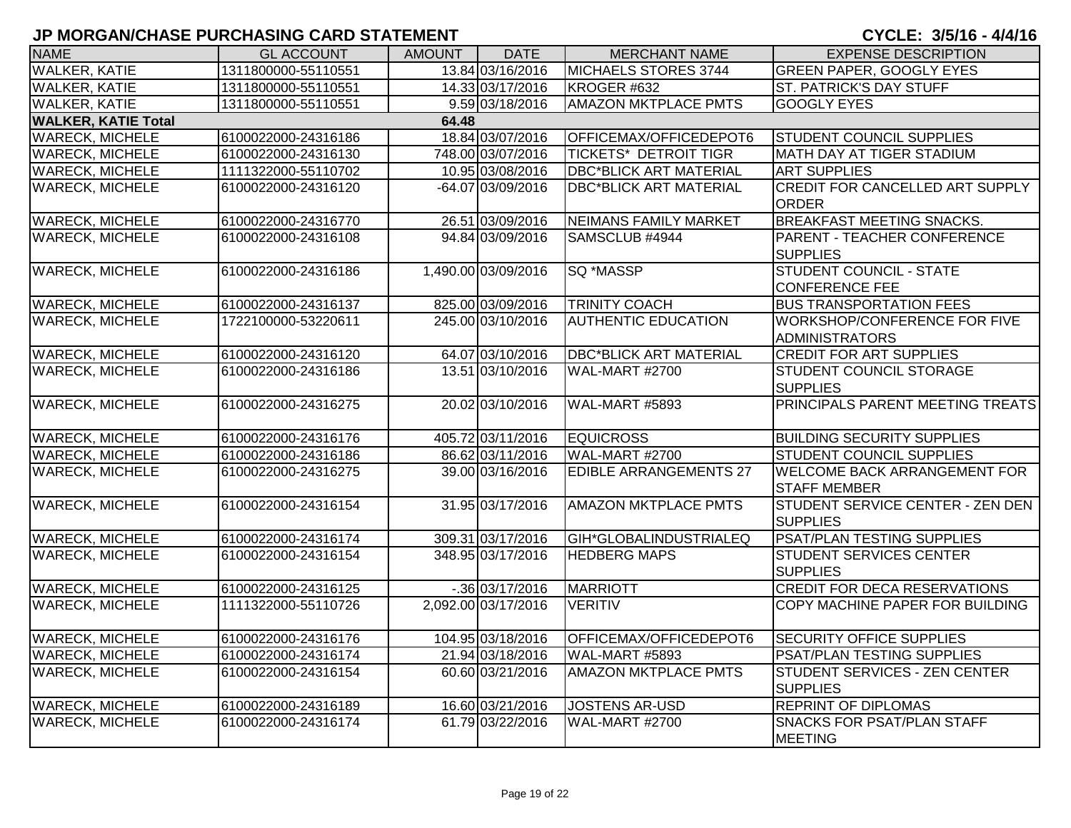| <b>NAME</b>                         | <b>GL ACCOUNT</b>   | <b>AMOUNT</b> | <b>DATE</b>         | <b>MERCHANT NAME</b>          | <b>EXPENSE DESCRIPTION</b>                                 |  |  |  |  |
|-------------------------------------|---------------------|---------------|---------------------|-------------------------------|------------------------------------------------------------|--|--|--|--|
| <b>WALKER, KATIE</b>                | 1311800000-55110551 |               | 13.84 03/16/2016    | MICHAELS STORES 3744          | <b>GREEN PAPER, GOOGLY EYES</b>                            |  |  |  |  |
| <b>WALKER, KATIE</b>                | 1311800000-55110551 |               | 14.33 03/17/2016    | KROGER #632                   | <b>ST. PATRICK'S DAY STUFF</b>                             |  |  |  |  |
| <b>WALKER, KATIE</b>                | 1311800000-55110551 |               | 9.59 03/18/2016     | <b>AMAZON MKTPLACE PMTS</b>   | <b>GOOGLY EYES</b>                                         |  |  |  |  |
| <b>WALKER, KATIE Total</b><br>64.48 |                     |               |                     |                               |                                                            |  |  |  |  |
| <b>WARECK, MICHELE</b>              | 6100022000-24316186 |               | 18.84 03/07/2016    | OFFICEMAX/OFFICEDEPOT6        | <b>STUDENT COUNCIL SUPPLIES</b>                            |  |  |  |  |
| <b>WARECK, MICHELE</b>              | 6100022000-24316130 |               | 748.00 03/07/2016   | <b>TICKETS* DETROIT TIGR</b>  | <b>MATH DAY AT TIGER STADIUM</b>                           |  |  |  |  |
| <b>WARECK, MICHELE</b>              | 1111322000-55110702 |               | 10.95 03/08/2016    | <b>DBC*BLICK ART MATERIAL</b> | <b>ART SUPPLIES</b>                                        |  |  |  |  |
| <b>WARECK, MICHELE</b>              | 6100022000-24316120 |               | $-64.07$ 03/09/2016 | <b>DBC*BLICK ART MATERIAL</b> | <b>CREDIT FOR CANCELLED ART SUPPLY</b><br><b>ORDER</b>     |  |  |  |  |
| <b>WARECK, MICHELE</b>              | 6100022000-24316770 |               | 26.51 03/09/2016    | <b>NEIMANS FAMILY MARKET</b>  | <b>BREAKFAST MEETING SNACKS.</b>                           |  |  |  |  |
| <b>WARECK, MICHELE</b>              | 6100022000-24316108 |               | 94.84 03/09/2016    | SAMSCLUB #4944                | PARENT - TEACHER CONFERENCE<br><b>SUPPLIES</b>             |  |  |  |  |
| <b>WARECK, MICHELE</b>              | 6100022000-24316186 |               | 1,490.00 03/09/2016 | SQ *MASSP                     | <b>STUDENT COUNCIL - STATE</b><br><b>CONFERENCE FEE</b>    |  |  |  |  |
| <b>WARECK, MICHELE</b>              | 6100022000-24316137 |               | 825.00 03/09/2016   | <b>TRINITY COACH</b>          | <b>BUS TRANSPORTATION FEES</b>                             |  |  |  |  |
| <b>WARECK, MICHELE</b>              | 1722100000-53220611 |               | 245.00 03/10/2016   | <b>AUTHENTIC EDUCATION</b>    | WORKSHOP/CONFERENCE FOR FIVE<br><b>ADMINISTRATORS</b>      |  |  |  |  |
| <b>WARECK, MICHELE</b>              | 6100022000-24316120 |               | 64.07 03/10/2016    | <b>DBC*BLICK ART MATERIAL</b> | <b>CREDIT FOR ART SUPPLIES</b>                             |  |  |  |  |
| <b>WARECK, MICHELE</b>              | 6100022000-24316186 |               | 13.51 03/10/2016    | <b>WAL-MART #2700</b>         | <b>STUDENT COUNCIL STORAGE</b><br><b>SUPPLIES</b>          |  |  |  |  |
| <b>WARECK, MICHELE</b>              | 6100022000-24316275 |               | 20.02 03/10/2016    | WAL-MART #5893                | PRINCIPALS PARENT MEETING TREATS                           |  |  |  |  |
| <b>WARECK, MICHELE</b>              | 6100022000-24316176 |               | 405.72 03/11/2016   | <b>EQUICROSS</b>              | <b>BUILDING SECURITY SUPPLIES</b>                          |  |  |  |  |
| <b>WARECK, MICHELE</b>              | 6100022000-24316186 |               | 86.62 03/11/2016    | WAL-MART #2700                | <b>STUDENT COUNCIL SUPPLIES</b>                            |  |  |  |  |
| <b>WARECK, MICHELE</b>              | 6100022000-24316275 |               | 39.00 03/16/2016    | <b>EDIBLE ARRANGEMENTS 27</b> | <b>WELCOME BACK ARRANGEMENT FOR</b><br><b>STAFF MEMBER</b> |  |  |  |  |
| <b>WARECK, MICHELE</b>              | 6100022000-24316154 |               | 31.95 03/17/2016    | <b>AMAZON MKTPLACE PMTS</b>   | STUDENT SERVICE CENTER - ZEN DEN<br><b>SUPPLIES</b>        |  |  |  |  |
| <b>WARECK, MICHELE</b>              | 6100022000-24316174 |               | 309.31 03/17/2016   | GIH*GLOBALINDUSTRIALEQ        | PSAT/PLAN TESTING SUPPLIES                                 |  |  |  |  |
| <b>WARECK, MICHELE</b>              | 6100022000-24316154 |               | 348.95 03/17/2016   | <b>HEDBERG MAPS</b>           | <b>STUDENT SERVICES CENTER</b><br><b>SUPPLIES</b>          |  |  |  |  |
| <b>WARECK, MICHELE</b>              | 6100022000-24316125 |               | $-0.36$ 03/17/2016  | <b>MARRIOTT</b>               | <b>CREDIT FOR DECA RESERVATIONS</b>                        |  |  |  |  |
| <b>WARECK, MICHELE</b>              | 1111322000-55110726 |               | 2,092.00 03/17/2016 | <b>VERITIV</b>                | COPY MACHINE PAPER FOR BUILDING                            |  |  |  |  |
| <b>WARECK, MICHELE</b>              | 6100022000-24316176 |               | 104.95 03/18/2016   | OFFICEMAX/OFFICEDEPOT6        | <b>SECURITY OFFICE SUPPLIES</b>                            |  |  |  |  |
| <b>WARECK, MICHELE</b>              | 6100022000-24316174 |               | 21.94 03/18/2016    | WAL-MART #5893                | PSAT/PLAN TESTING SUPPLIES                                 |  |  |  |  |
| <b>WARECK, MICHELE</b>              | 6100022000-24316154 |               | 60.60 03/21/2016    | <b>AMAZON MKTPLACE PMTS</b>   | STUDENT SERVICES - ZEN CENTER<br><b>SUPPLIES</b>           |  |  |  |  |
| <b>WARECK, MICHELE</b>              | 6100022000-24316189 |               | 16.60 03/21/2016    | <b>JOSTENS AR-USD</b>         | <b>REPRINT OF DIPLOMAS</b>                                 |  |  |  |  |
| <b>WARECK, MICHELE</b>              | 6100022000-24316174 |               | 61.79 03/22/2016    | <b>WAL-MART #2700</b>         | <b>SNACKS FOR PSAT/PLAN STAFF</b><br><b>MEETING</b>        |  |  |  |  |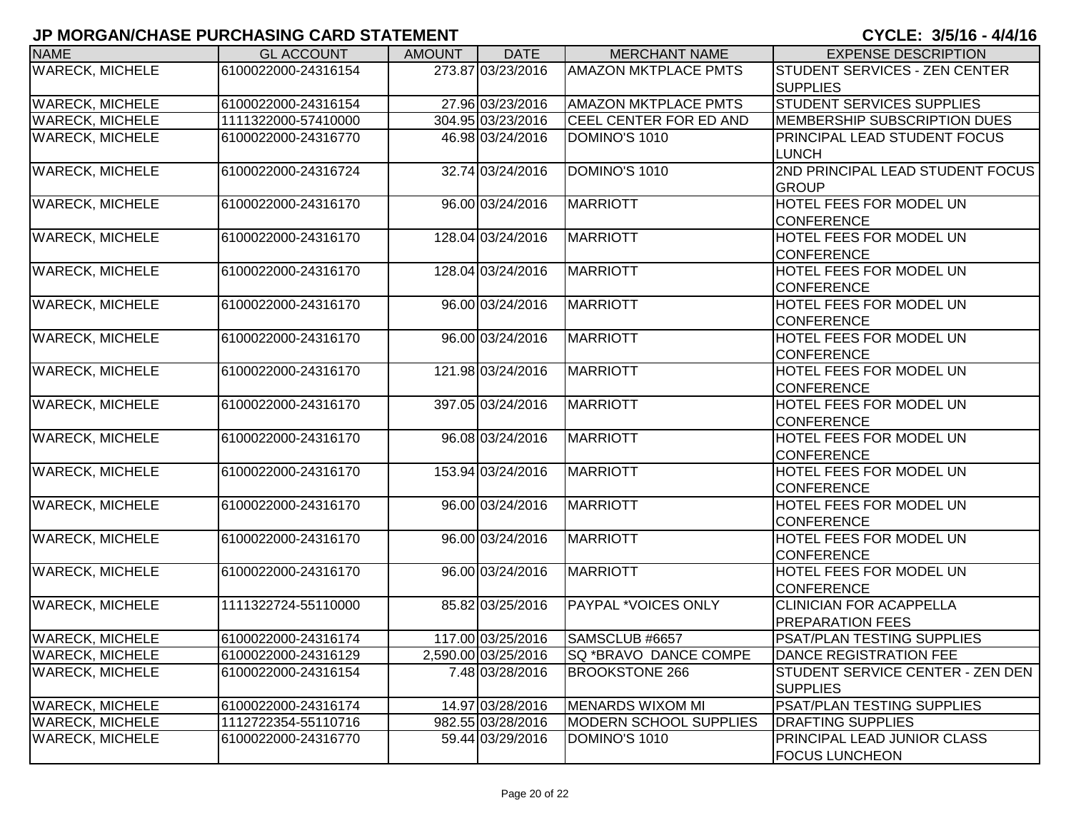| <b>NAME</b>            | <b>GL ACCOUNT</b>   | <b>AMOUNT</b> | <b>DATE</b>         | <b>MERCHANT NAME</b>          | <b>EXPENSE DESCRIPTION</b>       |
|------------------------|---------------------|---------------|---------------------|-------------------------------|----------------------------------|
| <b>WARECK, MICHELE</b> | 6100022000-24316154 |               | 273.87 03/23/2016   | <b>AMAZON MKTPLACE PMTS</b>   | STUDENT SERVICES - ZEN CENTER    |
|                        |                     |               |                     |                               | <b>SUPPLIES</b>                  |
| <b>WARECK, MICHELE</b> | 6100022000-24316154 |               | 27.96 03/23/2016    | <b>AMAZON MKTPLACE PMTS</b>   | STUDENT SERVICES SUPPLIES        |
| <b>WARECK, MICHELE</b> | 1111322000-57410000 |               | 304.95 03/23/2016   | <b>CEEL CENTER FOR ED AND</b> | MEMBERSHIP SUBSCRIPTION DUES     |
| <b>WARECK, MICHELE</b> | 6100022000-24316770 |               | 46.98 03/24/2016    | DOMINO'S 1010                 | PRINCIPAL LEAD STUDENT FOCUS     |
|                        |                     |               |                     |                               | <b>LUNCH</b>                     |
| <b>WARECK, MICHELE</b> | 6100022000-24316724 |               | 32.74 03/24/2016    | DOMINO'S 1010                 | 2ND PRINCIPAL LEAD STUDENT FOCUS |
|                        |                     |               |                     |                               | <b>GROUP</b>                     |
| <b>WARECK, MICHELE</b> | 6100022000-24316170 |               | 96.00 03/24/2016    | <b>MARRIOTT</b>               | HOTEL FEES FOR MODEL UN          |
|                        |                     |               |                     |                               | <b>CONFERENCE</b>                |
| <b>WARECK, MICHELE</b> | 6100022000-24316170 |               | 128.04 03/24/2016   | <b>MARRIOTT</b>               | HOTEL FEES FOR MODEL UN          |
|                        |                     |               |                     |                               | <b>CONFERENCE</b>                |
| <b>WARECK, MICHELE</b> | 6100022000-24316170 |               | 128.04 03/24/2016   | <b>MARRIOTT</b>               | HOTEL FEES FOR MODEL UN          |
|                        |                     |               |                     |                               | <b>CONFERENCE</b>                |
| <b>WARECK, MICHELE</b> | 6100022000-24316170 |               | 96.00 03/24/2016    | <b>MARRIOTT</b>               | HOTEL FEES FOR MODEL UN          |
|                        |                     |               |                     |                               | <b>CONFERENCE</b>                |
| <b>WARECK, MICHELE</b> | 6100022000-24316170 |               | 96.00 03/24/2016    | <b>MARRIOTT</b>               | HOTEL FEES FOR MODEL UN          |
|                        |                     |               |                     |                               | <b>CONFERENCE</b>                |
| <b>WARECK, MICHELE</b> | 6100022000-24316170 |               | 121.98 03/24/2016   | <b>MARRIOTT</b>               | HOTEL FEES FOR MODEL UN          |
|                        |                     |               |                     |                               | <b>CONFERENCE</b>                |
| <b>WARECK, MICHELE</b> | 6100022000-24316170 |               | 397.05 03/24/2016   | MARRIOTT                      | HOTEL FEES FOR MODEL UN          |
|                        |                     |               |                     |                               | CONFERENCE                       |
| <b>WARECK, MICHELE</b> | 6100022000-24316170 |               | 96.08 03/24/2016    | <b>MARRIOTT</b>               | HOTEL FEES FOR MODEL UN          |
|                        |                     |               |                     |                               | <b>CONFERENCE</b>                |
| <b>WARECK, MICHELE</b> | 6100022000-24316170 |               | 153.94 03/24/2016   | <b>MARRIOTT</b>               | HOTEL FEES FOR MODEL UN          |
|                        |                     |               |                     |                               | <b>CONFERENCE</b>                |
| <b>WARECK, MICHELE</b> | 6100022000-24316170 |               | 96.00 03/24/2016    | <b>MARRIOTT</b>               | HOTEL FEES FOR MODEL UN          |
|                        |                     |               |                     |                               | CONFERENCE                       |
| <b>WARECK, MICHELE</b> | 6100022000-24316170 |               | 96.00 03/24/2016    | <b>MARRIOTT</b>               | HOTEL FEES FOR MODEL UN          |
|                        |                     |               |                     |                               | <b>CONFERENCE</b>                |
| <b>WARECK, MICHELE</b> | 6100022000-24316170 |               | 96.00 03/24/2016    | <b>MARRIOTT</b>               | HOTEL FEES FOR MODEL UN          |
|                        |                     |               |                     |                               | <b>CONFERENCE</b>                |
| <b>WARECK, MICHELE</b> | 1111322724-55110000 |               | 85.82 03/25/2016    | <b>PAYPAL *VOICES ONLY</b>    | <b>CLINICIAN FOR ACAPPELLA</b>   |
|                        |                     |               |                     |                               | <b>PREPARATION FEES</b>          |
| <b>WARECK, MICHELE</b> | 6100022000-24316174 |               | 117.00 03/25/2016   | SAMSCLUB #6657                | PSAT/PLAN TESTING SUPPLIES       |
| <b>WARECK, MICHELE</b> | 6100022000-24316129 |               | 2,590.00 03/25/2016 | <b>SQ *BRAVO DANCE COMPE</b>  | DANCE REGISTRATION FEE           |
| <b>WARECK, MICHELE</b> | 6100022000-24316154 |               | 7.48 03/28/2016     | <b>BROOKSTONE 266</b>         | STUDENT SERVICE CENTER - ZEN DEN |
|                        |                     |               |                     |                               | <b>SUPPLIES</b>                  |
| <b>WARECK, MICHELE</b> | 6100022000-24316174 |               | 14.97 03/28/2016    | <b>MENARDS WIXOM MI</b>       | PSAT/PLAN TESTING SUPPLIES       |
| <b>WARECK, MICHELE</b> | 1112722354-55110716 |               | 982.55 03/28/2016   | <b>MODERN SCHOOL SUPPLIES</b> | <b>DRAFTING SUPPLIES</b>         |
| <b>WARECK, MICHELE</b> | 6100022000-24316770 |               | 59.44 03/29/2016    | DOMINO'S 1010                 | PRINCIPAL LEAD JUNIOR CLASS      |
|                        |                     |               |                     |                               | <b>FOCUS LUNCHEON</b>            |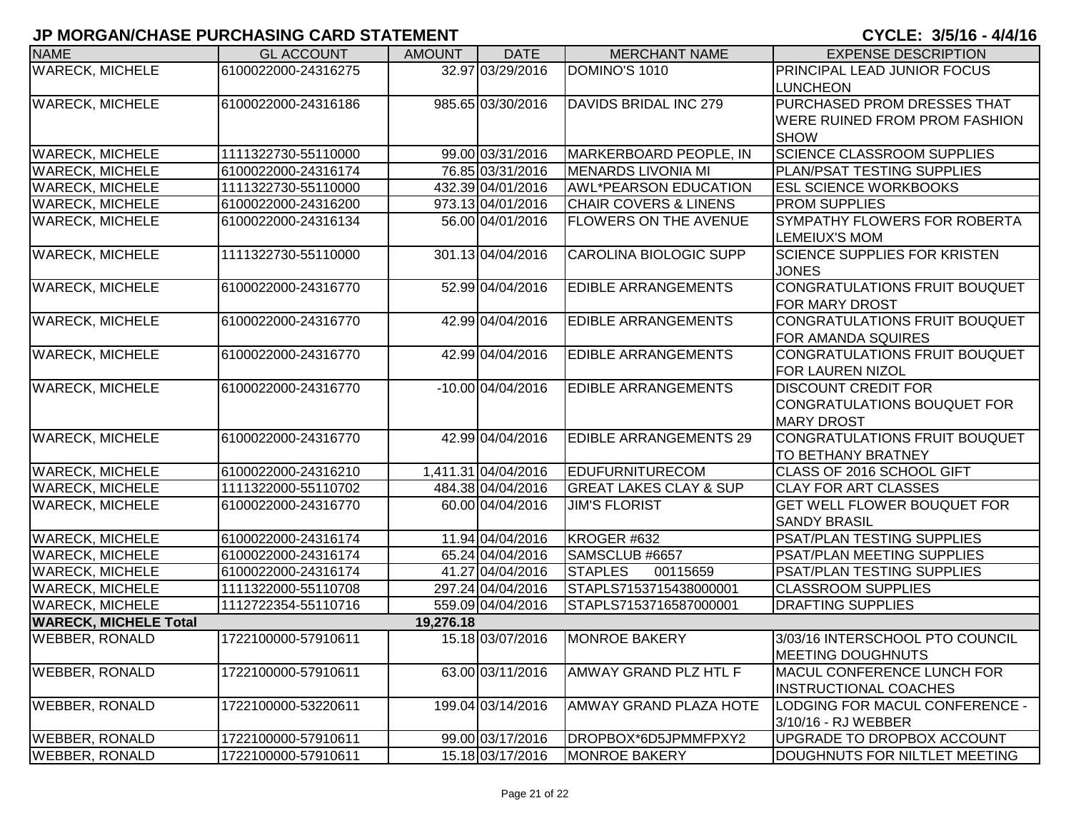| <b>NAME</b>                  | <b>GL ACCOUNT</b>   | <b>AMOUNT</b> | <b>DATE</b>         | <b>MERCHANT NAME</b>              | <b>EXPENSE DESCRIPTION</b>            |
|------------------------------|---------------------|---------------|---------------------|-----------------------------------|---------------------------------------|
| <b>WARECK, MICHELE</b>       | 6100022000-24316275 |               | 32.97 03/29/2016    | DOMINO'S 1010                     | PRINCIPAL LEAD JUNIOR FOCUS           |
|                              |                     |               |                     |                                   | <b>LUNCHEON</b>                       |
| <b>WARECK, MICHELE</b>       | 6100022000-24316186 |               | 985.65 03/30/2016   | DAVIDS BRIDAL INC 279             | <b>PURCHASED PROM DRESSES THAT</b>    |
|                              |                     |               |                     |                                   | <b>WERE RUINED FROM PROM FASHION</b>  |
|                              |                     |               |                     |                                   | <b>SHOW</b>                           |
| <b>WARECK, MICHELE</b>       | 1111322730-55110000 |               | 99.00 03/31/2016    | MARKERBOARD PEOPLE, IN            | <b>SCIENCE CLASSROOM SUPPLIES</b>     |
| <b>WARECK, MICHELE</b>       | 6100022000-24316174 |               | 76.85 03/31/2016    | <b>MENARDS LIVONIA MI</b>         | PLAN/PSAT TESTING SUPPLIES            |
| <b>WARECK, MICHELE</b>       | 1111322730-55110000 |               | 432.39 04/01/2016   | <b>AWL*PEARSON EDUCATION</b>      | <b>IESL SCIENCE WORKBOOKS</b>         |
| <b>WARECK, MICHELE</b>       | 6100022000-24316200 |               | 973.13 04/01/2016   | <b>CHAIR COVERS &amp; LINENS</b>  | <b>PROM SUPPLIES</b>                  |
| <b>WARECK, MICHELE</b>       | 6100022000-24316134 |               | 56.00 04/01/2016    | <b>FLOWERS ON THE AVENUE</b>      | SYMPATHY FLOWERS FOR ROBERTA          |
|                              |                     |               |                     |                                   | <b>LEMEIUX'S MOM</b>                  |
| <b>WARECK, MICHELE</b>       | 1111322730-55110000 |               | 301.13 04/04/2016   | <b>CAROLINA BIOLOGIC SUPP</b>     | <b>SCIENCE SUPPLIES FOR KRISTEN</b>   |
|                              |                     |               |                     |                                   | <b>JONES</b>                          |
| <b>WARECK, MICHELE</b>       | 6100022000-24316770 |               | 52.99 04/04/2016    | <b>EDIBLE ARRANGEMENTS</b>        | CONGRATULATIONS FRUIT BOUQUET         |
|                              |                     |               |                     |                                   | <b>FOR MARY DROST</b>                 |
| <b>WARECK, MICHELE</b>       | 6100022000-24316770 |               | 42.99 04/04/2016    | <b>EDIBLE ARRANGEMENTS</b>        | CONGRATULATIONS FRUIT BOUQUET         |
|                              |                     |               |                     |                                   | <b>FOR AMANDA SQUIRES</b>             |
| <b>WARECK, MICHELE</b>       | 6100022000-24316770 |               | 42.99 04/04/2016    | <b>EDIBLE ARRANGEMENTS</b>        | CONGRATULATIONS FRUIT BOUQUET         |
|                              |                     |               |                     |                                   | <b>FOR LAUREN NIZOL</b>               |
| <b>WARECK, MICHELE</b>       | 6100022000-24316770 |               | -10.00 04/04/2016   | <b>EDIBLE ARRANGEMENTS</b>        | <b>DISCOUNT CREDIT FOR</b>            |
|                              |                     |               |                     |                                   | CONGRATULATIONS BOUQUET FOR           |
|                              |                     |               |                     |                                   | <b>MARY DROST</b>                     |
| <b>WARECK, MICHELE</b>       | 6100022000-24316770 |               | 42.99 04/04/2016    | <b>EDIBLE ARRANGEMENTS 29</b>     | CONGRATULATIONS FRUIT BOUQUET         |
|                              |                     |               |                     |                                   | TO BETHANY BRATNEY                    |
| <b>WARECK, MICHELE</b>       | 6100022000-24316210 |               | 1,411.31 04/04/2016 | <b>EDUFURNITURECOM</b>            | CLASS OF 2016 SCHOOL GIFT             |
| <b>WARECK, MICHELE</b>       | 1111322000-55110702 |               | 484.38 04/04/2016   | <b>GREAT LAKES CLAY &amp; SUP</b> | <b>CLAY FOR ART CLASSES</b>           |
| <b>WARECK, MICHELE</b>       | 6100022000-24316770 |               | 60.00 04/04/2016    | <b>JIM'S FLORIST</b>              | <b>GET WELL FLOWER BOUQUET FOR</b>    |
|                              |                     |               |                     |                                   | <b>SANDY BRASIL</b>                   |
| <b>WARECK, MICHELE</b>       | 6100022000-24316174 |               | 11.94 04/04/2016    | KROGER #632                       | PSAT/PLAN TESTING SUPPLIES            |
| <b>WARECK, MICHELE</b>       | 6100022000-24316174 |               | 65.24 04/04/2016    | SAMSCLUB #6657                    | PSAT/PLAN MEETING SUPPLIES            |
| <b>WARECK, MICHELE</b>       | 6100022000-24316174 |               | 41.27 04/04/2016    | <b>STAPLES</b><br>00115659        | PSAT/PLAN TESTING SUPPLIES            |
| <b>WARECK, MICHELE</b>       | 1111322000-55110708 |               | 297.24 04/04/2016   | STAPLS7153715438000001            | <b>CLASSROOM SUPPLIES</b>             |
| <b>WARECK, MICHELE</b>       | 1112722354-55110716 |               | 559.09 04/04/2016   | STAPLS7153716587000001            | <b>DRAFTING SUPPLIES</b>              |
| <b>WARECK, MICHELE Total</b> |                     | 19,276.18     |                     |                                   |                                       |
| <b>WEBBER, RONALD</b>        | 1722100000-57910611 |               | 15.18 03/07/2016    | <b>MONROE BAKERY</b>              | 3/03/16 INTERSCHOOL PTO COUNCIL       |
|                              |                     |               |                     |                                   | <b>MEETING DOUGHNUTS</b>              |
| <b>WEBBER, RONALD</b>        | 1722100000-57910611 |               | 63.00 03/11/2016    | AMWAY GRAND PLZ HTL F             | <b>MACUL CONFERENCE LUNCH FOR</b>     |
|                              |                     |               |                     |                                   | <b>INSTRUCTIONAL COACHES</b>          |
| <b>WEBBER, RONALD</b>        | 1722100000-53220611 |               | 199.04 03/14/2016   | <b>AMWAY GRAND PLAZA HOTE</b>     | <b>LODGING FOR MACUL CONFERENCE -</b> |
|                              |                     |               |                     |                                   | 3/10/16 - RJ WEBBER                   |
| <b>WEBBER, RONALD</b>        | 1722100000-57910611 |               | 99.00 03/17/2016    | DROPBOX*6D5JPMMFPXY2              | UPGRADE TO DROPBOX ACCOUNT            |
| <b>WEBBER, RONALD</b>        | 1722100000-57910611 |               | 15.18 03/17/2016    | <b>MONROE BAKERY</b>              | DOUGHNUTS FOR NILTLET MEETING         |